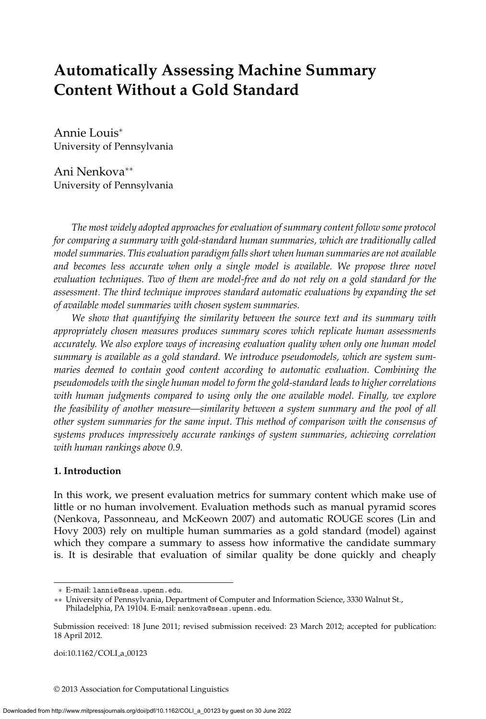# **Automatically Assessing Machine Summary Content Without a Gold Standard**

Annie Louis<sup>∗</sup> University of Pennsylvania

Ani Nenkova∗∗ University of Pennsylvania

*The most widely adopted approaches for evaluation of summary content follow some protocol for comparing a summary with gold-standard human summaries, which are traditionally called model summaries. This evaluation paradigm falls short when human summaries are not available and becomes less accurate when only a single model is available. We propose three novel evaluation techniques. Two of them are model-free and do not rely on a gold standard for the assessment. The third technique improves standard automatic evaluations by expanding the set of available model summaries with chosen system summaries.*

*We show that quantifying the similarity between the source text and its summary with appropriately chosen measures produces summary scores which replicate human assessments accurately. We also explore ways of increasing evaluation quality when only one human model summary is available as a gold standard. We introduce pseudomodels, which are system summaries deemed to contain good content according to automatic evaluation. Combining the pseudomodels with the single human model to form the gold-standard leads to higher correlations with human judgments compared to using only the one available model. Finally, we explore the feasibility of another measure—similarity between a system summary and the pool of all other system summaries for the same input. This method of comparison with the consensus of systems produces impressively accurate rankings of system summaries, achieving correlation with human rankings above 0.9.*

# **1. Introduction**

In this work, we present evaluation metrics for summary content which make use of little or no human involvement. Evaluation methods such as manual pyramid scores (Nenkova, Passonneau, and McKeown 2007) and automatic ROUGE scores (Lin and Hovy 2003) rely on multiple human summaries as a gold standard (model) against which they compare a summary to assess how informative the candidate summary is. It is desirable that evaluation of similar quality be done quickly and cheaply

doi:10.1162/COLI\_a\_00123

© 2013 Association for Computational Linguistics

<sup>∗</sup> E-mail: lannie@seas.upenn.edu.

<sup>∗∗</sup> University of Pennsylvania, Department of Computer and Information Science, 3330 Walnut St., Philadelphia, PA 19104. E-mail: nenkova@seas.upenn.edu.

Submission received: 18 June 2011; revised submission received: 23 March 2012; accepted for publication: 18 April 2012.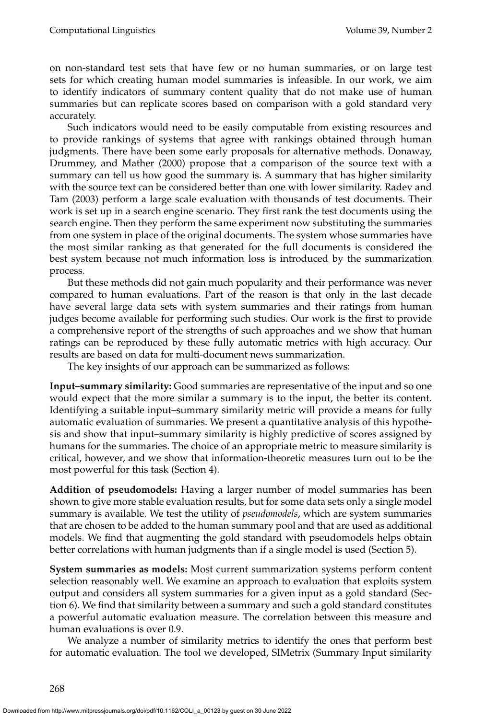on non-standard test sets that have few or no human summaries, or on large test sets for which creating human model summaries is infeasible. In our work, we aim to identify indicators of summary content quality that do not make use of human summaries but can replicate scores based on comparison with a gold standard very accurately.

Such indicators would need to be easily computable from existing resources and to provide rankings of systems that agree with rankings obtained through human judgments. There have been some early proposals for alternative methods. Donaway, Drummey, and Mather (2000) propose that a comparison of the source text with a summary can tell us how good the summary is. A summary that has higher similarity with the source text can be considered better than one with lower similarity. Radev and Tam (2003) perform a large scale evaluation with thousands of test documents. Their work is set up in a search engine scenario. They first rank the test documents using the search engine. Then they perform the same experiment now substituting the summaries from one system in place of the original documents. The system whose summaries have the most similar ranking as that generated for the full documents is considered the best system because not much information loss is introduced by the summarization process.

But these methods did not gain much popularity and their performance was never compared to human evaluations. Part of the reason is that only in the last decade have several large data sets with system summaries and their ratings from human judges become available for performing such studies. Our work is the first to provide a comprehensive report of the strengths of such approaches and we show that human ratings can be reproduced by these fully automatic metrics with high accuracy. Our results are based on data for multi-document news summarization.

The key insights of our approach can be summarized as follows:

**Input–summary similarity:** Good summaries are representative of the input and so one would expect that the more similar a summary is to the input, the better its content. Identifying a suitable input–summary similarity metric will provide a means for fully automatic evaluation of summaries. We present a quantitative analysis of this hypothesis and show that input–summary similarity is highly predictive of scores assigned by humans for the summaries. The choice of an appropriate metric to measure similarity is critical, however, and we show that information-theoretic measures turn out to be the most powerful for this task (Section 4).

**Addition of pseudomodels:** Having a larger number of model summaries has been shown to give more stable evaluation results, but for some data sets only a single model summary is available. We test the utility of *pseudomodels*, which are system summaries that are chosen to be added to the human summary pool and that are used as additional models. We find that augmenting the gold standard with pseudomodels helps obtain better correlations with human judgments than if a single model is used (Section 5).

**System summaries as models:** Most current summarization systems perform content selection reasonably well. We examine an approach to evaluation that exploits system output and considers all system summaries for a given input as a gold standard (Section 6). We find that similarity between a summary and such a gold standard constitutes a powerful automatic evaluation measure. The correlation between this measure and human evaluations is over 0.9.

We analyze a number of similarity metrics to identify the ones that perform best for automatic evaluation. The tool we developed, SIMetrix (Summary Input similarity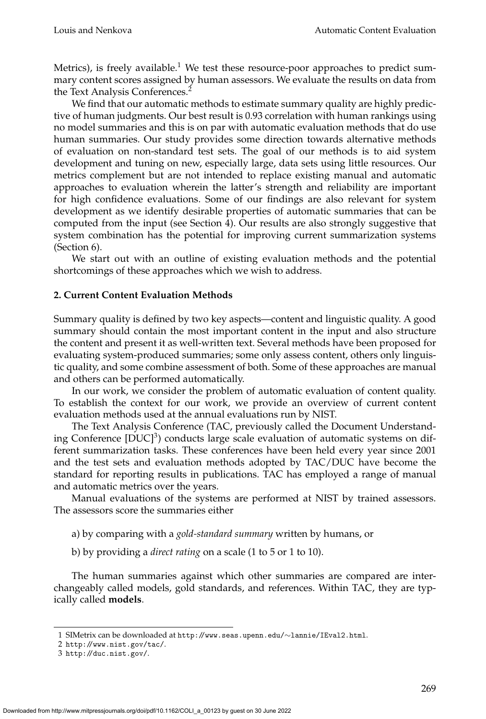Metrics), is freely available.<sup>1</sup> We test these resource-poor approaches to predict summary content scores assigned by human assessors. We evaluate the results on data from the Text Analysis Conferences.<sup>2</sup>

We find that our automatic methods to estimate summary quality are highly predictive of human judgments. Our best result is 0.93 correlation with human rankings using no model summaries and this is on par with automatic evaluation methods that do use human summaries. Our study provides some direction towards alternative methods of evaluation on non-standard test sets. The goal of our methods is to aid system development and tuning on new, especially large, data sets using little resources. Our metrics complement but are not intended to replace existing manual and automatic approaches to evaluation wherein the latter's strength and reliability are important for high confidence evaluations. Some of our findings are also relevant for system development as we identify desirable properties of automatic summaries that can be computed from the input (see Section 4). Our results are also strongly suggestive that system combination has the potential for improving current summarization systems (Section 6).

We start out with an outline of existing evaluation methods and the potential shortcomings of these approaches which we wish to address.

# **2. Current Content Evaluation Methods**

Summary quality is defined by two key aspects—content and linguistic quality. A good summary should contain the most important content in the input and also structure the content and present it as well-written text. Several methods have been proposed for evaluating system-produced summaries; some only assess content, others only linguistic quality, and some combine assessment of both. Some of these approaches are manual and others can be performed automatically.

In our work, we consider the problem of automatic evaluation of content quality. To establish the context for our work, we provide an overview of current content evaluation methods used at the annual evaluations run by NIST.

The Text Analysis Conference (TAC, previously called the Document Understanding Conference  $[DUC]^3$ ) conducts large scale evaluation of automatic systems on different summarization tasks. These conferences have been held every year since 2001 and the test sets and evaluation methods adopted by TAC/DUC have become the standard for reporting results in publications. TAC has employed a range of manual and automatic metrics over the years.

Manual evaluations of the systems are performed at NIST by trained assessors. The assessors score the summaries either

- a) by comparing with a *gold-standard summary* written by humans, or
- b) by providing a *direct rating* on a scale (1 to 5 or 1 to 10).

The human summaries against which other summaries are compared are interchangeably called models, gold standards, and references. Within TAC, they are typically called **models**.

<sup>1</sup> SIMetrix can be downloaded at http://www.seas.upenn.edu/∼lannie/IEval2.html.

<sup>2</sup> http://www.nist.gov/tac/.

<sup>3</sup> http://duc.nist.gov/.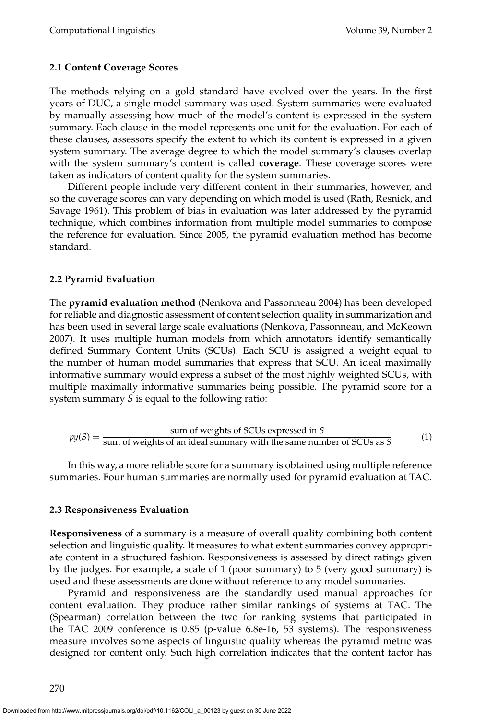#### **2.1 Content Coverage Scores**

The methods relying on a gold standard have evolved over the years. In the first years of DUC, a single model summary was used. System summaries were evaluated by manually assessing how much of the model's content is expressed in the system summary. Each clause in the model represents one unit for the evaluation. For each of these clauses, assessors specify the extent to which its content is expressed in a given system summary. The average degree to which the model summary's clauses overlap with the system summary's content is called **coverage**. These coverage scores were taken as indicators of content quality for the system summaries.

Different people include very different content in their summaries, however, and so the coverage scores can vary depending on which model is used (Rath, Resnick, and Savage 1961). This problem of bias in evaluation was later addressed by the pyramid technique, which combines information from multiple model summaries to compose the reference for evaluation. Since 2005, the pyramid evaluation method has become standard.

### **2.2 Pyramid Evaluation**

The **pyramid evaluation method** (Nenkova and Passonneau 2004) has been developed for reliable and diagnostic assessment of content selection quality in summarization and has been used in several large scale evaluations (Nenkova, Passonneau, and McKeown 2007). It uses multiple human models from which annotators identify semantically defined Summary Content Units (SCUs). Each SCU is assigned a weight equal to the number of human model summaries that express that SCU. An ideal maximally informative summary would express a subset of the most highly weighted SCUs, with multiple maximally informative summaries being possible. The pyramid score for a system summary *S* is equal to the following ratio:

$$
py(S) = \frac{\text{sum of weights of SCUs expressed in } S}{\text{sum of weights of an ideal summary with the same number of SCUs as } S}
$$
(1)

In this way, a more reliable score for a summary is obtained using multiple reference summaries. Four human summaries are normally used for pyramid evaluation at TAC.

### **2.3 Responsiveness Evaluation**

**Responsiveness** of a summary is a measure of overall quality combining both content selection and linguistic quality. It measures to what extent summaries convey appropriate content in a structured fashion. Responsiveness is assessed by direct ratings given by the judges. For example, a scale of 1 (poor summary) to 5 (very good summary) is used and these assessments are done without reference to any model summaries.

Pyramid and responsiveness are the standardly used manual approaches for content evaluation. They produce rather similar rankings of systems at TAC. The (Spearman) correlation between the two for ranking systems that participated in the TAC 2009 conference is 0.85 (p-value 6.8e-16, 53 systems). The responsiveness measure involves some aspects of linguistic quality whereas the pyramid metric was designed for content only. Such high correlation indicates that the content factor has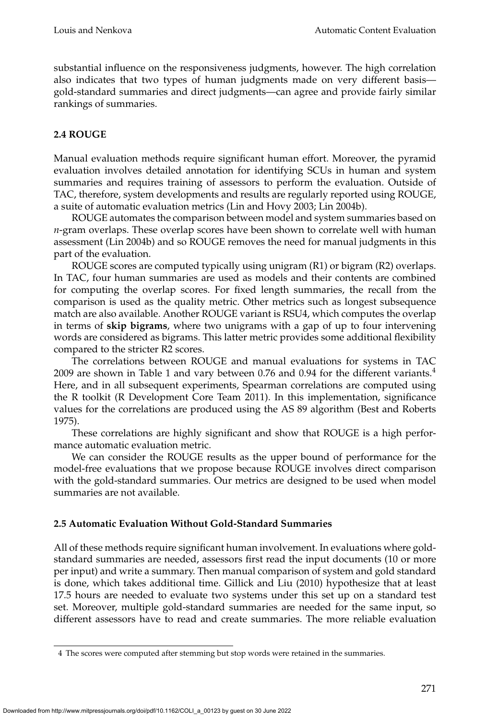substantial influence on the responsiveness judgments, however. The high correlation also indicates that two types of human judgments made on very different basis gold-standard summaries and direct judgments—can agree and provide fairly similar rankings of summaries.

# **2.4 ROUGE**

Manual evaluation methods require significant human effort. Moreover, the pyramid evaluation involves detailed annotation for identifying SCUs in human and system summaries and requires training of assessors to perform the evaluation. Outside of TAC, therefore, system developments and results are regularly reported using ROUGE, a suite of automatic evaluation metrics (Lin and Hovy 2003; Lin 2004b).

ROUGE automates the comparison between model and system summaries based on *n*-gram overlaps. These overlap scores have been shown to correlate well with human assessment (Lin 2004b) and so ROUGE removes the need for manual judgments in this part of the evaluation.

ROUGE scores are computed typically using unigram (R1) or bigram (R2) overlaps. In TAC, four human summaries are used as models and their contents are combined for computing the overlap scores. For fixed length summaries, the recall from the comparison is used as the quality metric. Other metrics such as longest subsequence match are also available. Another ROUGE variant is RSU4, which computes the overlap in terms of **skip bigrams**, where two unigrams with a gap of up to four intervening words are considered as bigrams. This latter metric provides some additional flexibility compared to the stricter R2 scores.

The correlations between ROUGE and manual evaluations for systems in TAC 2009 are shown in Table 1 and vary between 0.76 and 0.94 for the different variants. $4$ Here, and in all subsequent experiments, Spearman correlations are computed using the R toolkit (R Development Core Team 2011). In this implementation, significance values for the correlations are produced using the AS 89 algorithm (Best and Roberts 1975).

These correlations are highly significant and show that ROUGE is a high performance automatic evaluation metric.

We can consider the ROUGE results as the upper bound of performance for the model-free evaluations that we propose because ROUGE involves direct comparison with the gold-standard summaries. Our metrics are designed to be used when model summaries are not available.

# **2.5 Automatic Evaluation Without Gold-Standard Summaries**

All of these methods require significant human involvement. In evaluations where goldstandard summaries are needed, assessors first read the input documents (10 or more per input) and write a summary. Then manual comparison of system and gold standard is done, which takes additional time. Gillick and Liu (2010) hypothesize that at least 17.5 hours are needed to evaluate two systems under this set up on a standard test set. Moreover, multiple gold-standard summaries are needed for the same input, so different assessors have to read and create summaries. The more reliable evaluation

<sup>4</sup> The scores were computed after stemming but stop words were retained in the summaries.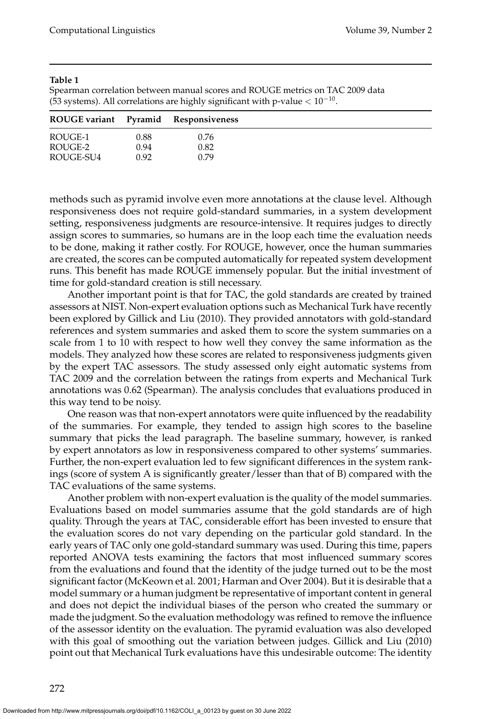Spearman correlation between manual scores and ROUGE metrics on TAC 2009 data (53 systems). All correlations are highly significant with p-value  $< 10^{-10}$ .

|                    |              | ROUGE variant Pyramid Responsiveness |  |
|--------------------|--------------|--------------------------------------|--|
| ROUGE-1<br>ROUGE-2 | 0.88<br>0.94 | 0.76<br>0.82                         |  |
| ROUGE-SU4          | 0.92         | 0.79                                 |  |

methods such as pyramid involve even more annotations at the clause level. Although responsiveness does not require gold-standard summaries, in a system development setting, responsiveness judgments are resource-intensive. It requires judges to directly assign scores to summaries, so humans are in the loop each time the evaluation needs to be done, making it rather costly. For ROUGE, however, once the human summaries are created, the scores can be computed automatically for repeated system development runs. This benefit has made ROUGE immensely popular. But the initial investment of time for gold-standard creation is still necessary.

Another important point is that for TAC, the gold standards are created by trained assessors at NIST. Non-expert evaluation options such as Mechanical Turk have recently been explored by Gillick and Liu (2010). They provided annotators with gold-standard references and system summaries and asked them to score the system summaries on a scale from 1 to 10 with respect to how well they convey the same information as the models. They analyzed how these scores are related to responsiveness judgments given by the expert TAC assessors. The study assessed only eight automatic systems from TAC 2009 and the correlation between the ratings from experts and Mechanical Turk annotations was 0.62 (Spearman). The analysis concludes that evaluations produced in this way tend to be noisy.

One reason was that non-expert annotators were quite influenced by the readability of the summaries. For example, they tended to assign high scores to the baseline summary that picks the lead paragraph. The baseline summary, however, is ranked by expert annotators as low in responsiveness compared to other systems' summaries. Further, the non-expert evaluation led to few significant differences in the system rankings (score of system A is significantly greater/lesser than that of B) compared with the TAC evaluations of the same systems.

Another problem with non-expert evaluation is the quality of the model summaries. Evaluations based on model summaries assume that the gold standards are of high quality. Through the years at TAC, considerable effort has been invested to ensure that the evaluation scores do not vary depending on the particular gold standard. In the early years of TAC only one gold-standard summary was used. During this time, papers reported ANOVA tests examining the factors that most influenced summary scores from the evaluations and found that the identity of the judge turned out to be the most significant factor (McKeown et al. 2001; Harman and Over 2004). But it is desirable that a model summary or a human judgment be representative of important content in general and does not depict the individual biases of the person who created the summary or made the judgment. So the evaluation methodology was refined to remove the influence of the assessor identity on the evaluation. The pyramid evaluation was also developed with this goal of smoothing out the variation between judges. Gillick and Liu (2010) point out that Mechanical Turk evaluations have this undesirable outcome: The identity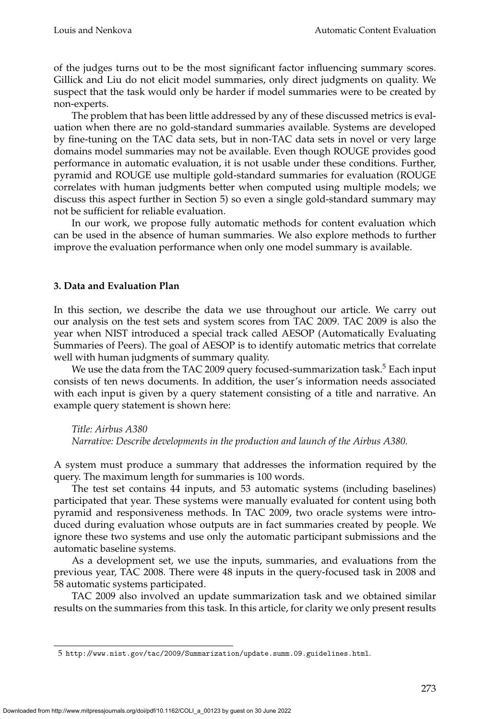of the judges turns out to be the most significant factor influencing summary scores. Gillick and Liu do not elicit model summaries, only direct judgments on quality. We suspect that the task would only be harder if model summaries were to be created by non-experts.

The problem that has been little addressed by any of these discussed metrics is evaluation when there are no gold-standard summaries available. Systems are developed by fine-tuning on the TAC data sets, but in non-TAC data sets in novel or very large domains model summaries may not be available. Even though ROUGE provides good performance in automatic evaluation, it is not usable under these conditions. Further, pyramid and ROUGE use multiple gold-standard summaries for evaluation (ROUGE correlates with human judgments better when computed using multiple models; we discuss this aspect further in Section 5) so even a single gold-standard summary may not be sufficient for reliable evaluation.

In our work, we propose fully automatic methods for content evaluation which can be used in the absence of human summaries. We also explore methods to further improve the evaluation performance when only one model summary is available.

# **3. Data and Evaluation Plan**

In this section, we describe the data we use throughout our article. We carry out our analysis on the test sets and system scores from TAC 2009. TAC 2009 is also the year when NIST introduced a special track called AESOP (Automatically Evaluating Summaries of Peers). The goal of AESOP is to identify automatic metrics that correlate well with human judgments of summary quality.

We use the data from the TAC 2009 query focused-summarization task.<sup>5</sup> Each input consists of ten news documents. In addition, the user's information needs associated with each input is given by a query statement consisting of a title and narrative. An example query statement is shown here:

*Title: Airbus A380 Narrative: Describe developments in the production and launch of the Airbus A380.*

A system must produce a summary that addresses the information required by the query. The maximum length for summaries is 100 words.

The test set contains 44 inputs, and 53 automatic systems (including baselines) participated that year. These systems were manually evaluated for content using both pyramid and responsiveness methods. In TAC 2009, two oracle systems were introduced during evaluation whose outputs are in fact summaries created by people. We ignore these two systems and use only the automatic participant submissions and the automatic baseline systems.

As a development set, we use the inputs, summaries, and evaluations from the previous year, TAC 2008. There were 48 inputs in the query-focused task in 2008 and 58 automatic systems participated.

TAC 2009 also involved an update summarization task and we obtained similar results on the summaries from this task. In this article, for clarity we only present results

<sup>5</sup> http://www.nist.gov/tac/2009/Summarization/update.summ.09.guidelines.html.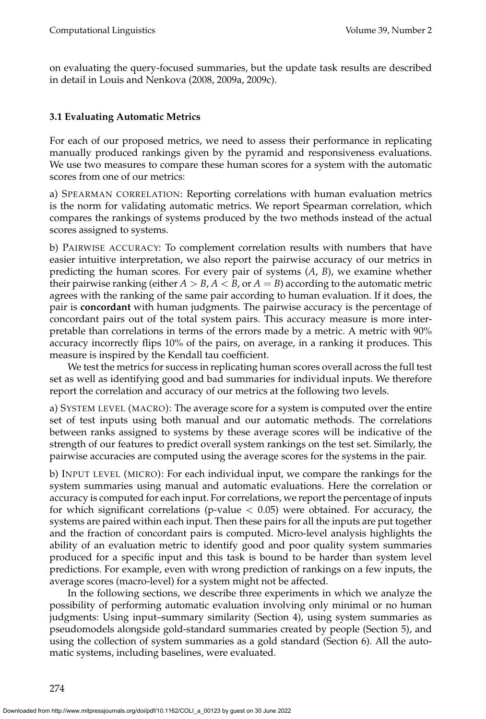on evaluating the query-focused summaries, but the update task results are described in detail in Louis and Nenkova (2008, 2009a, 2009c).

# **3.1 Evaluating Automatic Metrics**

For each of our proposed metrics, we need to assess their performance in replicating manually produced rankings given by the pyramid and responsiveness evaluations. We use two measures to compare these human scores for a system with the automatic scores from one of our metrics:

a) SPEARMAN CORRELATION: Reporting correlations with human evaluation metrics is the norm for validating automatic metrics. We report Spearman correlation, which compares the rankings of systems produced by the two methods instead of the actual scores assigned to systems.

b) PAIRWISE ACCURACY: To complement correlation results with numbers that have easier intuitive interpretation, we also report the pairwise accuracy of our metrics in predicting the human scores. For every pair of systems (*A*, *B*), we examine whether their pairwise ranking (either  $A > B$ ,  $A < B$ , or  $A = B$ ) according to the automatic metric agrees with the ranking of the same pair according to human evaluation. If it does, the pair is **concordant** with human judgments. The pairwise accuracy is the percentage of concordant pairs out of the total system pairs. This accuracy measure is more interpretable than correlations in terms of the errors made by a metric. A metric with 90% accuracy incorrectly flips 10% of the pairs, on average, in a ranking it produces. This measure is inspired by the Kendall tau coefficient.

We test the metrics for success in replicating human scores overall across the full test set as well as identifying good and bad summaries for individual inputs. We therefore report the correlation and accuracy of our metrics at the following two levels.

a) SYSTEM LEVEL (MACRO): The average score for a system is computed over the entire set of test inputs using both manual and our automatic methods. The correlations between ranks assigned to systems by these average scores will be indicative of the strength of our features to predict overall system rankings on the test set. Similarly, the pairwise accuracies are computed using the average scores for the systems in the pair.

b) INPUT LEVEL (MICRO): For each individual input, we compare the rankings for the system summaries using manual and automatic evaluations. Here the correlation or accuracy is computed for each input. For correlations, we report the percentage of inputs for which significant correlations (p-value  $< 0.05$ ) were obtained. For accuracy, the systems are paired within each input. Then these pairs for all the inputs are put together and the fraction of concordant pairs is computed. Micro-level analysis highlights the ability of an evaluation metric to identify good and poor quality system summaries produced for a specific input and this task is bound to be harder than system level predictions. For example, even with wrong prediction of rankings on a few inputs, the average scores (macro-level) for a system might not be affected.

In the following sections, we describe three experiments in which we analyze the possibility of performing automatic evaluation involving only minimal or no human judgments: Using input–summary similarity (Section 4), using system summaries as pseudomodels alongside gold-standard summaries created by people (Section 5), and using the collection of system summaries as a gold standard (Section 6). All the automatic systems, including baselines, were evaluated.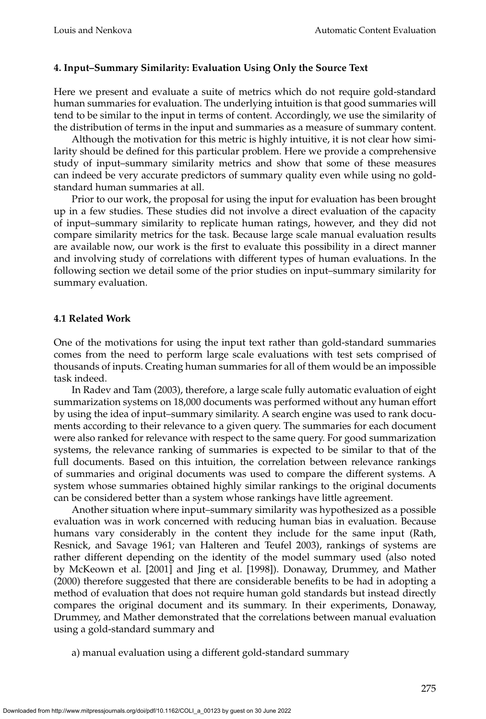# **4. Input–Summary Similarity: Evaluation Using Only the Source Text**

Here we present and evaluate a suite of metrics which do not require gold-standard human summaries for evaluation. The underlying intuition is that good summaries will tend to be similar to the input in terms of content. Accordingly, we use the similarity of the distribution of terms in the input and summaries as a measure of summary content.

Although the motivation for this metric is highly intuitive, it is not clear how similarity should be defined for this particular problem. Here we provide a comprehensive study of input–summary similarity metrics and show that some of these measures can indeed be very accurate predictors of summary quality even while using no goldstandard human summaries at all.

Prior to our work, the proposal for using the input for evaluation has been brought up in a few studies. These studies did not involve a direct evaluation of the capacity of input–summary similarity to replicate human ratings, however, and they did not compare similarity metrics for the task. Because large scale manual evaluation results are available now, our work is the first to evaluate this possibility in a direct manner and involving study of correlations with different types of human evaluations. In the following section we detail some of the prior studies on input–summary similarity for summary evaluation.

# **4.1 Related Work**

One of the motivations for using the input text rather than gold-standard summaries comes from the need to perform large scale evaluations with test sets comprised of thousands of inputs. Creating human summaries for all of them would be an impossible task indeed.

In Radev and Tam (2003), therefore, a large scale fully automatic evaluation of eight summarization systems on 18,000 documents was performed without any human effort by using the idea of input–summary similarity. A search engine was used to rank documents according to their relevance to a given query. The summaries for each document were also ranked for relevance with respect to the same query. For good summarization systems, the relevance ranking of summaries is expected to be similar to that of the full documents. Based on this intuition, the correlation between relevance rankings of summaries and original documents was used to compare the different systems. A system whose summaries obtained highly similar rankings to the original documents can be considered better than a system whose rankings have little agreement.

Another situation where input–summary similarity was hypothesized as a possible evaluation was in work concerned with reducing human bias in evaluation. Because humans vary considerably in the content they include for the same input (Rath, Resnick, and Savage 1961; van Halteren and Teufel 2003), rankings of systems are rather different depending on the identity of the model summary used (also noted by McKeown et al. [2001] and Jing et al. [1998]). Donaway, Drummey, and Mather (2000) therefore suggested that there are considerable benefits to be had in adopting a method of evaluation that does not require human gold standards but instead directly compares the original document and its summary. In their experiments, Donaway, Drummey, and Mather demonstrated that the correlations between manual evaluation using a gold-standard summary and

a) manual evaluation using a different gold-standard summary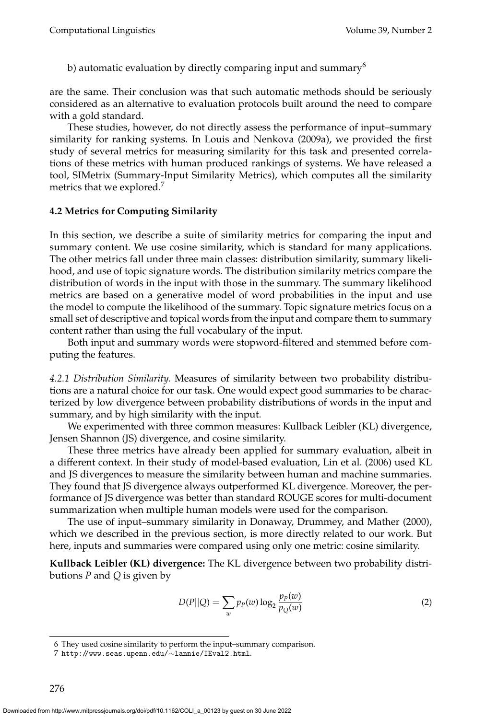b) automatic evaluation by directly comparing input and summary<sup>6</sup>

are the same. Their conclusion was that such automatic methods should be seriously considered as an alternative to evaluation protocols built around the need to compare with a gold standard.

These studies, however, do not directly assess the performance of input–summary similarity for ranking systems. In Louis and Nenkova (2009a), we provided the first study of several metrics for measuring similarity for this task and presented correlations of these metrics with human produced rankings of systems. We have released a tool, SIMetrix (Summary-Input Similarity Metrics), which computes all the similarity metrics that we explored.<sup>7</sup>

# **4.2 Metrics for Computing Similarity**

In this section, we describe a suite of similarity metrics for comparing the input and summary content. We use cosine similarity, which is standard for many applications. The other metrics fall under three main classes: distribution similarity, summary likelihood, and use of topic signature words. The distribution similarity metrics compare the distribution of words in the input with those in the summary. The summary likelihood metrics are based on a generative model of word probabilities in the input and use the model to compute the likelihood of the summary. Topic signature metrics focus on a small set of descriptive and topical words from the input and compare them to summary content rather than using the full vocabulary of the input.

Both input and summary words were stopword-filtered and stemmed before computing the features.

*4.2.1 Distribution Similarity.* Measures of similarity between two probability distributions are a natural choice for our task. One would expect good summaries to be characterized by low divergence between probability distributions of words in the input and summary, and by high similarity with the input.

We experimented with three common measures: Kullback Leibler (KL) divergence, Jensen Shannon (JS) divergence, and cosine similarity.

These three metrics have already been applied for summary evaluation, albeit in a different context. In their study of model-based evaluation, Lin et al. (2006) used KL and JS divergences to measure the similarity between human and machine summaries. They found that JS divergence always outperformed KL divergence. Moreover, the performance of JS divergence was better than standard ROUGE scores for multi-document summarization when multiple human models were used for the comparison.

The use of input–summary similarity in Donaway, Drummey, and Mather (2000), which we described in the previous section, is more directly related to our work. But here, inputs and summaries were compared using only one metric: cosine similarity.

**Kullback Leibler (KL) divergence:** The KL divergence between two probability distributions *P* and *Q* is given by

$$
D(P||Q) = \sum_{w} p_P(w) \log_2 \frac{p_P(w)}{p_Q(w)}
$$
 (2)

<sup>6</sup> They used cosine similarity to perform the input–summary comparison.

<sup>7</sup> http://www.seas.upenn.edu/∼lannie/IEval2.html.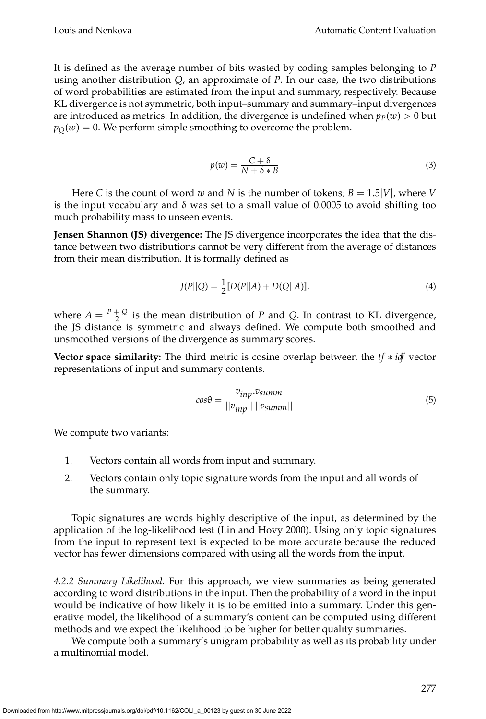It is defined as the average number of bits wasted by coding samples belonging to *P* using another distribution *Q*, an approximate of *P*. In our case, the two distributions of word probabilities are estimated from the input and summary, respectively. Because KL divergence is not symmetric, both input–summary and summary–input divergences are introduced as metrics. In addition, the divergence is undefined when  $p_p(w) > 0$  but  $p<sub>O</sub>(w) = 0$ . We perform simple smoothing to overcome the problem.

$$
p(w) = \frac{C + \delta}{N + \delta * B} \tag{3}
$$

Here *C* is the count of word *w* and *N* is the number of tokens;  $B = 1.5|V|$ , where *V* is the input vocabulary and  $\delta$  was set to a small value of 0.0005 to avoid shifting too much probability mass to unseen events.

**Jensen Shannon (JS) divergence:** The JS divergence incorporates the idea that the distance between two distributions cannot be very different from the average of distances from their mean distribution. It is formally defined as

$$
J(P||Q) = \frac{1}{2}[D(P||A) + D(Q||A)],
$$
\n(4)

where  $A = \frac{P+Q}{2}$  is the mean distribution of *P* and *Q*. In contrast to KL divergence, the JS distance is symmetric and always defined. We compute both smoothed and unsmoothed versions of the divergence as summary scores.

**Vector space similarity:** The third metric is cosine overlap between the *tf* ∗ *idf* vector representations of input and summary contents.

$$
cos\theta = \frac{v_{inp}.v_{summ}}{||v_{inp}|| \, ||v_{summ}||}
$$
\n(5)

We compute two variants:

- 1. Vectors contain all words from input and summary.
- 2. Vectors contain only topic signature words from the input and all words of the summary.

Topic signatures are words highly descriptive of the input, as determined by the application of the log-likelihood test (Lin and Hovy 2000). Using only topic signatures from the input to represent text is expected to be more accurate because the reduced vector has fewer dimensions compared with using all the words from the input.

*4.2.2 Summary Likelihood.* For this approach, we view summaries as being generated according to word distributions in the input. Then the probability of a word in the input would be indicative of how likely it is to be emitted into a summary. Under this generative model, the likelihood of a summary's content can be computed using different methods and we expect the likelihood to be higher for better quality summaries.

We compute both a summary's unigram probability as well as its probability under a multinomial model.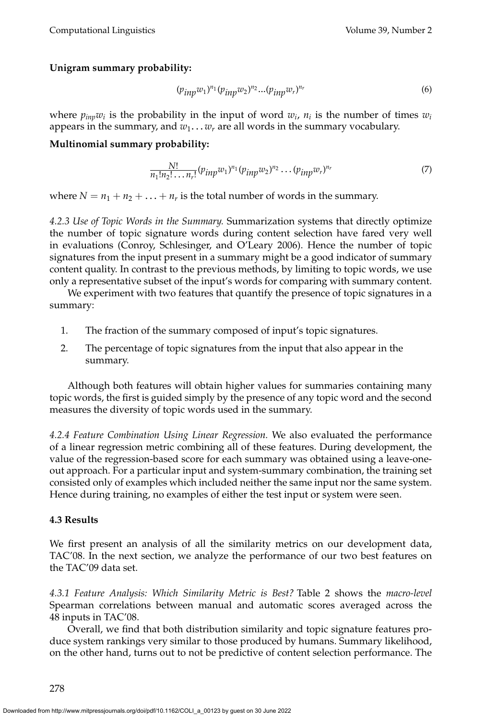# **Unigram summary probability:**

$$
(p_{inp}w_1)^{n_1}(p_{inp}w_2)^{n_2}...(p_{inp}w_r)^{n_r}
$$
\n(6)

where  $p_{imn}w_i$  is the probability in the input of word  $w_i$ ,  $n_i$  is the number of times  $w_i$ appears in the summary, and  $w_1 \ldots w_r$  are all words in the summary vocabulary.

# **Multinomial summary probability:**

$$
\frac{N!}{n_1!n_2!\ldots n_r!} (p_{inp}w_1)^{n_1} (p_{inp}w_2)^{n_2} \ldots (p_{inp}w_r)^{n_r}
$$
 (7)

where  $N = n_1 + n_2 + \ldots + n_r$  is the total number of words in the summary.

*4.2.3 Use of Topic Words in the Summary.* Summarization systems that directly optimize the number of topic signature words during content selection have fared very well in evaluations (Conroy, Schlesinger, and O'Leary 2006). Hence the number of topic signatures from the input present in a summary might be a good indicator of summary content quality. In contrast to the previous methods, by limiting to topic words, we use only a representative subset of the input's words for comparing with summary content.

We experiment with two features that quantify the presence of topic signatures in a summary:

- 1. The fraction of the summary composed of input's topic signatures.
- 2. The percentage of topic signatures from the input that also appear in the summary.

Although both features will obtain higher values for summaries containing many topic words, the first is guided simply by the presence of any topic word and the second measures the diversity of topic words used in the summary.

*4.2.4 Feature Combination Using Linear Regression.* We also evaluated the performance of a linear regression metric combining all of these features. During development, the value of the regression-based score for each summary was obtained using a leave-oneout approach. For a particular input and system-summary combination, the training set consisted only of examples which included neither the same input nor the same system. Hence during training, no examples of either the test input or system were seen.

# **4.3 Results**

We first present an analysis of all the similarity metrics on our development data, TAC'08. In the next section, we analyze the performance of our two best features on the TAC'09 data set.

*4.3.1 Feature Analysis: Which Similarity Metric is Best?.* Table 2 shows the *macro-level* Spearman correlations between manual and automatic scores averaged across the 48 inputs in TAC'08.

Overall, we find that both distribution similarity and topic signature features produce system rankings very similar to those produced by humans. Summary likelihood, on the other hand, turns out to not be predictive of content selection performance. The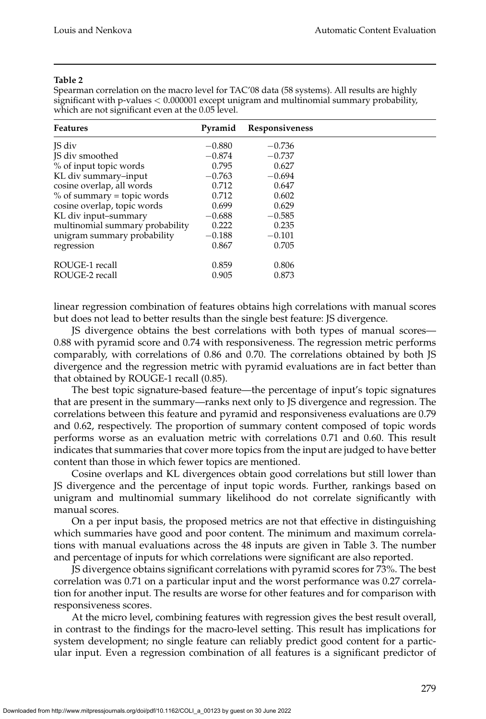Spearman correlation on the macro level for TAC'08 data (58 systems). All results are highly significant with p-values < 0.000001 except unigram and multinomial summary probability, which are not significant even at the 0.05 level.

| <b>Features</b>                 | Pyramid  | Responsiveness |  |
|---------------------------------|----------|----------------|--|
| IS div                          | $-0.880$ | $-0.736$       |  |
| IS div smoothed                 | $-0.874$ | $-0.737$       |  |
| % of input topic words          | 0.795    | 0.627          |  |
| KL div summary-input            | $-0.763$ | $-0.694$       |  |
| cosine overlap, all words       | 0.712    | 0.647          |  |
| % of summary = topic words      | 0.712    | 0.602          |  |
| cosine overlap, topic words     | 0.699    | 0.629          |  |
| KL div input-summary            | $-0.688$ | $-0.585$       |  |
| multinomial summary probability | 0.222    | 0.235          |  |
| unigram summary probability     | $-0.188$ | $-0.101$       |  |
| regression                      | 0.867    | 0.705          |  |
| ROUGE-1 recall                  | 0.859    | 0.806          |  |
| ROUGE-2 recall                  | 0.905    | 0.873          |  |

linear regression combination of features obtains high correlations with manual scores but does not lead to better results than the single best feature: JS divergence.

JS divergence obtains the best correlations with both types of manual scores— 0.88 with pyramid score and 0.74 with responsiveness. The regression metric performs comparably, with correlations of 0.86 and 0.70. The correlations obtained by both JS divergence and the regression metric with pyramid evaluations are in fact better than that obtained by ROUGE-1 recall (0.85).

The best topic signature-based feature—the percentage of input's topic signatures that are present in the summary—ranks next only to JS divergence and regression. The correlations between this feature and pyramid and responsiveness evaluations are 0.79 and 0.62, respectively. The proportion of summary content composed of topic words performs worse as an evaluation metric with correlations 0.71 and 0.60. This result indicates that summaries that cover more topics from the input are judged to have better content than those in which fewer topics are mentioned.

Cosine overlaps and KL divergences obtain good correlations but still lower than JS divergence and the percentage of input topic words. Further, rankings based on unigram and multinomial summary likelihood do not correlate significantly with manual scores.

On a per input basis, the proposed metrics are not that effective in distinguishing which summaries have good and poor content. The minimum and maximum correlations with manual evaluations across the 48 inputs are given in Table 3. The number and percentage of inputs for which correlations were significant are also reported.

JS divergence obtains significant correlations with pyramid scores for 73%. The best correlation was 0.71 on a particular input and the worst performance was 0.27 correlation for another input. The results are worse for other features and for comparison with responsiveness scores.

At the micro level, combining features with regression gives the best result overall, in contrast to the findings for the macro-level setting. This result has implications for system development; no single feature can reliably predict good content for a particular input. Even a regression combination of all features is a significant predictor of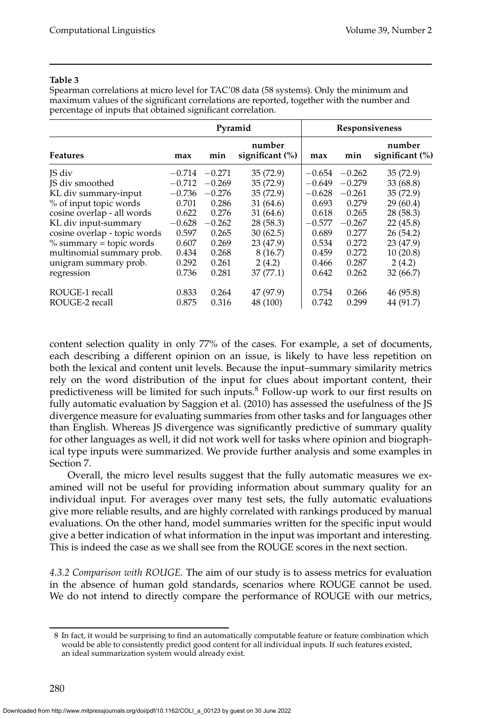Spearman correlations at micro level for TAC'08 data (58 systems). Only the minimum and maximum values of the significant correlations are reported, together with the number and percentage of inputs that obtained significant correlation.

|                              |          | Pyramid  |                              | <b>Responsiveness</b> |          |                              |  |
|------------------------------|----------|----------|------------------------------|-----------------------|----------|------------------------------|--|
| <b>Features</b>              | max      | min      | number<br>significant $(\%)$ | max                   | min      | number<br>significant $(\%)$ |  |
| IS div                       | $-0.714$ | $-0.271$ | 35(72.9)                     | $-0.654$              | $-0.262$ | 35(72.9)                     |  |
| JS div smoothed              | $-0.712$ | $-0.269$ | 35(72.9)                     | $-0.649$              | $-0.279$ | 33(68.8)                     |  |
| KL div summary-input         | $-0.736$ | $-0.276$ | 35 (72.9)                    | $-0.628$              | $-0.261$ | 35 (72.9)                    |  |
| % of input topic words       | 0.701    | 0.286    | 31(64.6)                     | 0.693                 | 0.279    | 29(60.4)                     |  |
| cosine overlap - all words   | 0.622    | 0.276    | 31(64.6)                     | 0.618                 | 0.265    | 28 (58.3)                    |  |
| KL div input-summary         | $-0.628$ | $-0.262$ | 28 (58.3)                    | $-0.577$              | $-0.267$ | 22(45.8)                     |  |
| cosine overlap - topic words | 0.597    | 0.265    | 30(62.5)                     | 0.689                 | 0.277    | 26(54.2)                     |  |
| $%$ summary = topic words    | 0.607    | 0.269    | 23 (47.9)                    | 0.534                 | 0.272    | 23 (47.9)                    |  |
| multinomial summary prob.    | 0.434    | 0.268    | 8(16.7)                      | 0.459                 | 0.272    | 10(20.8)                     |  |
| unigram summary prob.        | 0.292    | 0.261    | 2(4.2)                       | 0.466                 | 0.287    | 2(4.2)                       |  |
| regression                   | 0.736    | 0.281    | 37(77.1)                     | 0.642                 | 0.262    | 32(66.7)                     |  |
| ROUGE-1 recall               | 0.833    | 0.264    | 47 (97.9)                    | 0.754                 | 0.266    | 46 (95.8)                    |  |
| ROUGE-2 recall               | 0.875    | 0.316    | 48 (100)                     | 0.742                 | 0.299    | 44 (91.7)                    |  |

content selection quality in only 77% of the cases. For example, a set of documents, each describing a different opinion on an issue, is likely to have less repetition on both the lexical and content unit levels. Because the input–summary similarity metrics rely on the word distribution of the input for clues about important content, their predictiveness will be limited for such inputs.<sup>8</sup> Follow-up work to our first results on fully automatic evaluation by Saggion et al. (2010) has assessed the usefulness of the JS divergence measure for evaluating summaries from other tasks and for languages other than English. Whereas JS divergence was significantly predictive of summary quality for other languages as well, it did not work well for tasks where opinion and biographical type inputs were summarized. We provide further analysis and some examples in Section 7.

Overall, the micro level results suggest that the fully automatic measures we examined will not be useful for providing information about summary quality for an individual input. For averages over many test sets, the fully automatic evaluations give more reliable results, and are highly correlated with rankings produced by manual evaluations. On the other hand, model summaries written for the specific input would give a better indication of what information in the input was important and interesting. This is indeed the case as we shall see from the ROUGE scores in the next section.

*4.3.2 Comparison with ROUGE.* The aim of our study is to assess metrics for evaluation in the absence of human gold standards, scenarios where ROUGE cannot be used. We do not intend to directly compare the performance of ROUGE with our metrics,

<sup>8</sup> In fact, it would be surprising to find an automatically computable feature or feature combination which would be able to consistently predict good content for all individual inputs. If such features existed, an ideal summarization system would already exist.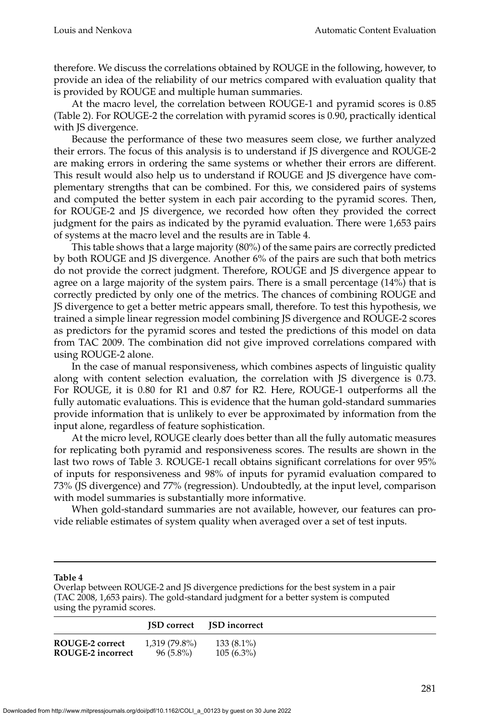therefore. We discuss the correlations obtained by ROUGE in the following, however, to provide an idea of the reliability of our metrics compared with evaluation quality that is provided by ROUGE and multiple human summaries.

At the macro level, the correlation between ROUGE-1 and pyramid scores is 0.85 (Table 2). For ROUGE-2 the correlation with pyramid scores is 0.90, practically identical with JS divergence.

Because the performance of these two measures seem close, we further analyzed their errors. The focus of this analysis is to understand if JS divergence and ROUGE-2 are making errors in ordering the same systems or whether their errors are different. This result would also help us to understand if ROUGE and JS divergence have complementary strengths that can be combined. For this, we considered pairs of systems and computed the better system in each pair according to the pyramid scores. Then, for ROUGE-2 and JS divergence, we recorded how often they provided the correct judgment for the pairs as indicated by the pyramid evaluation. There were 1,653 pairs of systems at the macro level and the results are in Table 4.

This table shows that a large majority (80%) of the same pairs are correctly predicted by both ROUGE and JS divergence. Another 6% of the pairs are such that both metrics do not provide the correct judgment. Therefore, ROUGE and JS divergence appear to agree on a large majority of the system pairs. There is a small percentage (14%) that is correctly predicted by only one of the metrics. The chances of combining ROUGE and JS divergence to get a better metric appears small, therefore. To test this hypothesis, we trained a simple linear regression model combining JS divergence and ROUGE-2 scores as predictors for the pyramid scores and tested the predictions of this model on data from TAC 2009. The combination did not give improved correlations compared with using ROUGE-2 alone.

In the case of manual responsiveness, which combines aspects of linguistic quality along with content selection evaluation, the correlation with JS divergence is 0.73. For ROUGE, it is 0.80 for R1 and 0.87 for R2. Here, ROUGE-1 outperforms all the fully automatic evaluations. This is evidence that the human gold-standard summaries provide information that is unlikely to ever be approximated by information from the input alone, regardless of feature sophistication.

At the micro level, ROUGE clearly does better than all the fully automatic measures for replicating both pyramid and responsiveness scores. The results are shown in the last two rows of Table 3. ROUGE-1 recall obtains significant correlations for over 95% of inputs for responsiveness and 98% of inputs for pyramid evaluation compared to 73% (JS divergence) and 77% (regression). Undoubtedly, at the input level, comparison with model summaries is substantially more informative.

When gold-standard summaries are not available, however, our features can provide reliable estimates of system quality when averaged over a set of test inputs.

#### **Table 4**

Overlap between ROUGE-2 and JS divergence predictions for the best system in a pair (TAC 2008, 1,653 pairs). The gold-standard judgment for a better system is computed using the pyramid scores.

|                          |               | <b>ISD</b> correct <b>ISD</b> incorrect |
|--------------------------|---------------|-----------------------------------------|
| <b>ROUGE-2 correct</b>   | 1,319 (79.8%) | $133(8.1\%)$                            |
| <b>ROUGE-2</b> incorrect | $96(5.8\%)$   | $105(6.3\%)$                            |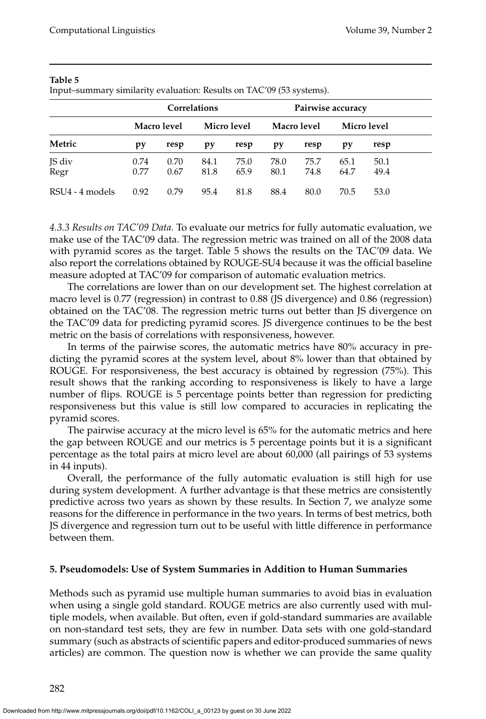|                 |              |                    | Correlations |              | Pairwise accuracy |              |              |              |
|-----------------|--------------|--------------------|--------------|--------------|-------------------|--------------|--------------|--------------|
|                 |              | <b>Macro</b> level |              | Micro level  |                   | Macro level  |              | Micro level  |
| Metric          | py           | resp               | py           | resp         | рy                | resp         | py           | resp         |
| JS div<br>Regr  | 0.74<br>0.77 | 0.70<br>0.67       | 84.1<br>81.8 | 75.0<br>65.9 | 78.0<br>80.1      | 75.7<br>74.8 | 65.1<br>64.7 | 50.1<br>49.4 |
| RSU4 - 4 models | 0.92         | 0.79               | 95.4         | 81.8         | 88.4              | 80.0         | 70.5         | 53.0         |

Input–summary similarity evaluation: Results on TAC'09 (53 systems).

*4.3.3 Results on TAC'09 Data.* To evaluate our metrics for fully automatic evaluation, we make use of the TAC'09 data. The regression metric was trained on all of the 2008 data with pyramid scores as the target. Table 5 shows the results on the TAC'09 data. We also report the correlations obtained by ROUGE-SU4 because it was the official baseline measure adopted at TAC'09 for comparison of automatic evaluation metrics.

The correlations are lower than on our development set. The highest correlation at macro level is 0.77 (regression) in contrast to 0.88 (JS divergence) and 0.86 (regression) obtained on the TAC'08. The regression metric turns out better than JS divergence on the TAC'09 data for predicting pyramid scores. JS divergence continues to be the best metric on the basis of correlations with responsiveness, however.

In terms of the pairwise scores, the automatic metrics have 80% accuracy in predicting the pyramid scores at the system level, about 8% lower than that obtained by ROUGE. For responsiveness, the best accuracy is obtained by regression (75%). This result shows that the ranking according to responsiveness is likely to have a large number of flips. ROUGE is 5 percentage points better than regression for predicting responsiveness but this value is still low compared to accuracies in replicating the pyramid scores.

The pairwise accuracy at the micro level is 65% for the automatic metrics and here the gap between ROUGE and our metrics is 5 percentage points but it is a significant percentage as the total pairs at micro level are about 60,000 (all pairings of 53 systems in 44 inputs).

Overall, the performance of the fully automatic evaluation is still high for use during system development. A further advantage is that these metrics are consistently predictive across two years as shown by these results. In Section 7, we analyze some reasons for the difference in performance in the two years. In terms of best metrics, both JS divergence and regression turn out to be useful with little difference in performance between them.

#### **5. Pseudomodels: Use of System Summaries in Addition to Human Summaries**

Methods such as pyramid use multiple human summaries to avoid bias in evaluation when using a single gold standard. ROUGE metrics are also currently used with multiple models, when available. But often, even if gold-standard summaries are available on non-standard test sets, they are few in number. Data sets with one gold-standard summary (such as abstracts of scientific papers and editor-produced summaries of news articles) are common. The question now is whether we can provide the same quality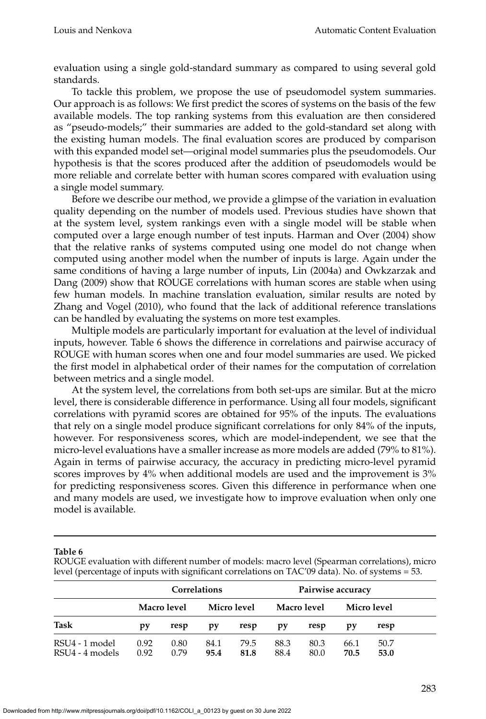evaluation using a single gold-standard summary as compared to using several gold standards.

To tackle this problem, we propose the use of pseudomodel system summaries. Our approach is as follows: We first predict the scores of systems on the basis of the few available models. The top ranking systems from this evaluation are then considered as "pseudo-models;" their summaries are added to the gold-standard set along with the existing human models. The final evaluation scores are produced by comparison with this expanded model set—original model summaries plus the pseudomodels. Our hypothesis is that the scores produced after the addition of pseudomodels would be more reliable and correlate better with human scores compared with evaluation using a single model summary.

Before we describe our method, we provide a glimpse of the variation in evaluation quality depending on the number of models used. Previous studies have shown that at the system level, system rankings even with a single model will be stable when computed over a large enough number of test inputs. Harman and Over (2004) show that the relative ranks of systems computed using one model do not change when computed using another model when the number of inputs is large. Again under the same conditions of having a large number of inputs, Lin (2004a) and Owkzarzak and Dang (2009) show that ROUGE correlations with human scores are stable when using few human models. In machine translation evaluation, similar results are noted by Zhang and Vogel (2010), who found that the lack of additional reference translations can be handled by evaluating the systems on more test examples.

Multiple models are particularly important for evaluation at the level of individual inputs, however. Table 6 shows the difference in correlations and pairwise accuracy of ROUGE with human scores when one and four model summaries are used. We picked the first model in alphabetical order of their names for the computation of correlation between metrics and a single model.

At the system level, the correlations from both set-ups are similar. But at the micro level, there is considerable difference in performance. Using all four models, significant correlations with pyramid scores are obtained for 95% of the inputs. The evaluations that rely on a single model produce significant correlations for only 84% of the inputs, however. For responsiveness scores, which are model-independent, we see that the micro-level evaluations have a smaller increase as more models are added (79% to 81%). Again in terms of pairwise accuracy, the accuracy in predicting micro-level pyramid scores improves by 4% when additional models are used and the improvement is 3% for predicting responsiveness scores. Given this difference in performance when one and many models are used, we investigate how to improve evaluation when only one model is available.

#### **Table 6**

| ROUGE evaluation with different number of models: macro level (Spearman correlations), micro    |  |
|-------------------------------------------------------------------------------------------------|--|
| level (percentage of inputs with significant correlations on TAC'09 data). No. of systems = 53. |  |

|                                   |              |              | Correlations |              |              | Pairwise accuracy |              |              |  |
|-----------------------------------|--------------|--------------|--------------|--------------|--------------|-------------------|--------------|--------------|--|
|                                   |              | Macro level  |              | Micro level  |              | Macro level       |              | Micro level  |  |
| Task                              | py           | resp         | py           | resp         | py           | resp              | py           | resp         |  |
| RSU4 - 1 model<br>RSU4 - 4 models | 0.92<br>0.92 | 0.80<br>0.79 | 84.1<br>95.4 | 79.5<br>81.8 | 88.3<br>88.4 | 80.3<br>80.0      | 66.1<br>70.5 | 50.7<br>53.0 |  |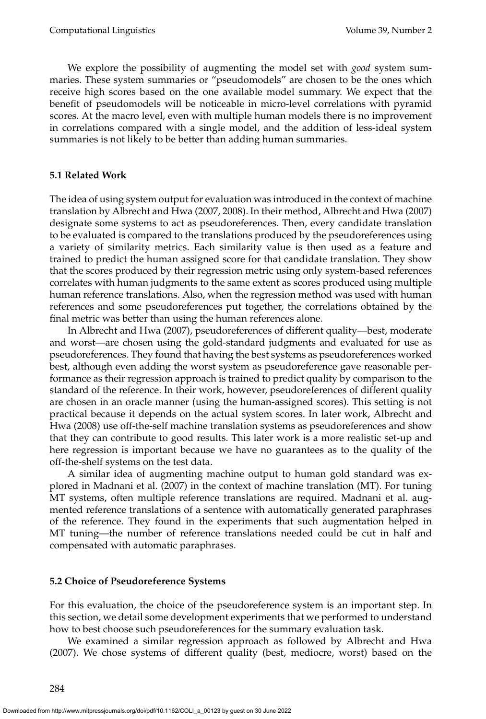We explore the possibility of augmenting the model set with *good* system summaries. These system summaries or "pseudomodels" are chosen to be the ones which receive high scores based on the one available model summary. We expect that the benefit of pseudomodels will be noticeable in micro-level correlations with pyramid scores. At the macro level, even with multiple human models there is no improvement in correlations compared with a single model, and the addition of less-ideal system summaries is not likely to be better than adding human summaries.

#### **5.1 Related Work**

The idea of using system output for evaluation was introduced in the context of machine translation by Albrecht and Hwa (2007, 2008). In their method, Albrecht and Hwa (2007) designate some systems to act as pseudoreferences. Then, every candidate translation to be evaluated is compared to the translations produced by the pseudoreferences using a variety of similarity metrics. Each similarity value is then used as a feature and trained to predict the human assigned score for that candidate translation. They show that the scores produced by their regression metric using only system-based references correlates with human judgments to the same extent as scores produced using multiple human reference translations. Also, when the regression method was used with human references and some pseudoreferences put together, the correlations obtained by the final metric was better than using the human references alone.

In Albrecht and Hwa (2007), pseudoreferences of different quality—best, moderate and worst—are chosen using the gold-standard judgments and evaluated for use as pseudoreferences. They found that having the best systems as pseudoreferences worked best, although even adding the worst system as pseudoreference gave reasonable performance as their regression approach is trained to predict quality by comparison to the standard of the reference. In their work, however, pseudoreferences of different quality are chosen in an oracle manner (using the human-assigned scores). This setting is not practical because it depends on the actual system scores. In later work, Albrecht and Hwa (2008) use off-the-self machine translation systems as pseudoreferences and show that they can contribute to good results. This later work is a more realistic set-up and here regression is important because we have no guarantees as to the quality of the off-the-shelf systems on the test data.

A similar idea of augmenting machine output to human gold standard was explored in Madnani et al. (2007) in the context of machine translation (MT). For tuning MT systems, often multiple reference translations are required. Madnani et al. augmented reference translations of a sentence with automatically generated paraphrases of the reference. They found in the experiments that such augmentation helped in MT tuning—the number of reference translations needed could be cut in half and compensated with automatic paraphrases.

#### **5.2 Choice of Pseudoreference Systems**

For this evaluation, the choice of the pseudoreference system is an important step. In this section, we detail some development experiments that we performed to understand how to best choose such pseudoreferences for the summary evaluation task.

We examined a similar regression approach as followed by Albrecht and Hwa (2007). We chose systems of different quality (best, mediocre, worst) based on the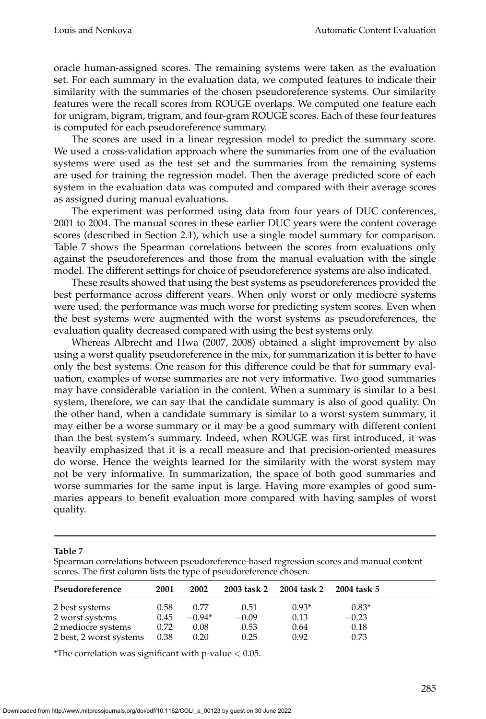oracle human-assigned scores. The remaining systems were taken as the evaluation set. For each summary in the evaluation data, we computed features to indicate their similarity with the summaries of the chosen pseudoreference systems. Our similarity features were the recall scores from ROUGE overlaps. We computed one feature each for unigram, bigram, trigram, and four-gram ROUGE scores. Each of these four features is computed for each pseudoreference summary.

The scores are used in a linear regression model to predict the summary score. We used a cross-validation approach where the summaries from one of the evaluation systems were used as the test set and the summaries from the remaining systems are used for training the regression model. Then the average predicted score of each system in the evaluation data was computed and compared with their average scores as assigned during manual evaluations.

The experiment was performed using data from four years of DUC conferences, 2001 to 2004. The manual scores in these earlier DUC years were the content coverage scores (described in Section 2.1), which use a single model summary for comparison. Table 7 shows the Spearman correlations between the scores from evaluations only against the pseudoreferences and those from the manual evaluation with the single model. The different settings for choice of pseudoreference systems are also indicated.

These results showed that using the best systems as pseudoreferences provided the best performance across different years. When only worst or only mediocre systems were used, the performance was much worse for predicting system scores. Even when the best systems were augmented with the worst systems as pseudoreferences, the evaluation quality decreased compared with using the best systems only.

Whereas Albrecht and Hwa (2007, 2008) obtained a slight improvement by also using a worst quality pseudoreference in the mix, for summarization it is better to have only the best systems. One reason for this difference could be that for summary evaluation, examples of worse summaries are not very informative. Two good summaries may have considerable variation in the content. When a summary is similar to a best system, therefore, we can say that the candidate summary is also of good quality. On the other hand, when a candidate summary is similar to a worst system summary, it may either be a worse summary or it may be a good summary with different content than the best system's summary. Indeed, when ROUGE was first introduced, it was heavily emphasized that it is a recall measure and that precision-oriented measures do worse. Hence the weights learned for the similarity with the worst system may not be very informative. In summarization, the space of both good summaries and worse summaries for the same input is large. Having more examples of good summaries appears to benefit evaluation more compared with having samples of worst quality.

#### **Table 7**

Spearman correlations between pseudoreference-based regression scores and manual content scores. The first column lists the type of pseudoreference chosen.

| Pseudoreference         | 2001 | 2002     |         | 2003 task 2 2004 task 2 | 2004 task 5 |
|-------------------------|------|----------|---------|-------------------------|-------------|
| 2 best systems          | 0.58 | 0.77     | 0.51    | $0.93*$                 | $0.83*$     |
| 2 worst systems         | 0.45 | $-0.94*$ | $-0.09$ | 0.13                    | $-0.23$     |
| 2 mediocre systems      | 0.72 | 0.08     | 0.53    | 0.64                    | 0.18        |
| 2 best, 2 worst systems | 0.38 | 0.20     | 0.25    | 0.92                    | 0.73        |

\*The correlation was significant with p-value < 0.05.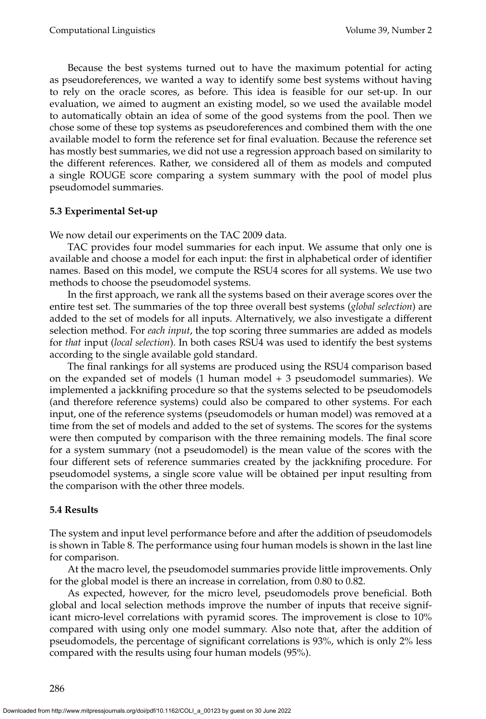Because the best systems turned out to have the maximum potential for acting as pseudoreferences, we wanted a way to identify some best systems without having to rely on the oracle scores, as before. This idea is feasible for our set-up. In our evaluation, we aimed to augment an existing model, so we used the available model to automatically obtain an idea of some of the good systems from the pool. Then we chose some of these top systems as pseudoreferences and combined them with the one available model to form the reference set for final evaluation. Because the reference set has mostly best summaries, we did not use a regression approach based on similarity to the different references. Rather, we considered all of them as models and computed a single ROUGE score comparing a system summary with the pool of model plus pseudomodel summaries.

### **5.3 Experimental Set-up**

We now detail our experiments on the TAC 2009 data.

TAC provides four model summaries for each input. We assume that only one is available and choose a model for each input: the first in alphabetical order of identifier names. Based on this model, we compute the RSU4 scores for all systems. We use two methods to choose the pseudomodel systems.

In the first approach, we rank all the systems based on their average scores over the entire test set. The summaries of the top three overall best systems (*global selection*) are added to the set of models for all inputs. Alternatively, we also investigate a different selection method. For *each input*, the top scoring three summaries are added as models for *that* input (*local selection*). In both cases RSU4 was used to identify the best systems according to the single available gold standard.

The final rankings for all systems are produced using the RSU4 comparison based on the expanded set of models (1 human model + 3 pseudomodel summaries). We implemented a jackknifing procedure so that the systems selected to be pseudomodels (and therefore reference systems) could also be compared to other systems. For each input, one of the reference systems (pseudomodels or human model) was removed at a time from the set of models and added to the set of systems. The scores for the systems were then computed by comparison with the three remaining models. The final score for a system summary (not a pseudomodel) is the mean value of the scores with the four different sets of reference summaries created by the jackknifing procedure. For pseudomodel systems, a single score value will be obtained per input resulting from the comparison with the other three models.

#### **5.4 Results**

The system and input level performance before and after the addition of pseudomodels is shown in Table 8. The performance using four human models is shown in the last line for comparison.

At the macro level, the pseudomodel summaries provide little improvements. Only for the global model is there an increase in correlation, from 0.80 to 0.82.

As expected, however, for the micro level, pseudomodels prove beneficial. Both global and local selection methods improve the number of inputs that receive significant micro-level correlations with pyramid scores. The improvement is close to 10% compared with using only one model summary. Also note that, after the addition of pseudomodels, the percentage of significant correlations is 93%, which is only 2% less compared with the results using four human models (95%).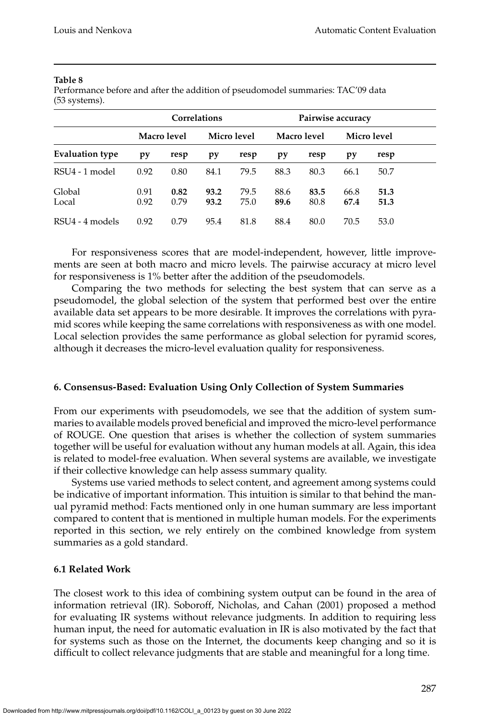Performance before and after the addition of pseudomodel summaries: TAC'09 data (53 systems).

|                        | Correlations |              |              |              |              | Pairwise accuracy |              |              |  |  |
|------------------------|--------------|--------------|--------------|--------------|--------------|-------------------|--------------|--------------|--|--|
|                        |              | Macro level  |              | Micro level  |              | Macro level       |              | Micro level  |  |  |
| <b>Evaluation type</b> | py           | resp         | py           | resp         | py           | resp              | py           | resp         |  |  |
| RSU4 - 1 model         | 0.92         | 0.80         | 84.1         | 79.5         | 88.3         | 80.3              | 66.1         | 50.7         |  |  |
| Global<br>Local        | 0.91<br>0.92 | 0.82<br>0.79 | 93.2<br>93.2 | 79.5<br>75.0 | 88.6<br>89.6 | 83.5<br>80.8      | 66.8<br>67.4 | 51.3<br>51.3 |  |  |
| RSU4 - 4 models        | 0.92         | 0.79         | 95.4         | 81.8         | 88.4         | 80.0              | 70.5         | 53.0         |  |  |

For responsiveness scores that are model-independent, however, little improvements are seen at both macro and micro levels. The pairwise accuracy at micro level for responsiveness is 1% better after the addition of the pseudomodels.

Comparing the two methods for selecting the best system that can serve as a pseudomodel, the global selection of the system that performed best over the entire available data set appears to be more desirable. It improves the correlations with pyramid scores while keeping the same correlations with responsiveness as with one model. Local selection provides the same performance as global selection for pyramid scores, although it decreases the micro-level evaluation quality for responsiveness.

# **6. Consensus-Based: Evaluation Using Only Collection of System Summaries**

From our experiments with pseudomodels, we see that the addition of system summaries to available models proved beneficial and improved the micro-level performance of ROUGE. One question that arises is whether the collection of system summaries together will be useful for evaluation without any human models at all. Again, this idea is related to model-free evaluation. When several systems are available, we investigate if their collective knowledge can help assess summary quality.

Systems use varied methods to select content, and agreement among systems could be indicative of important information. This intuition is similar to that behind the manual pyramid method: Facts mentioned only in one human summary are less important compared to content that is mentioned in multiple human models. For the experiments reported in this section, we rely entirely on the combined knowledge from system summaries as a gold standard.

# **6.1 Related Work**

The closest work to this idea of combining system output can be found in the area of information retrieval (IR). Soboroff, Nicholas, and Cahan (2001) proposed a method for evaluating IR systems without relevance judgments. In addition to requiring less human input, the need for automatic evaluation in IR is also motivated by the fact that for systems such as those on the Internet, the documents keep changing and so it is difficult to collect relevance judgments that are stable and meaningful for a long time.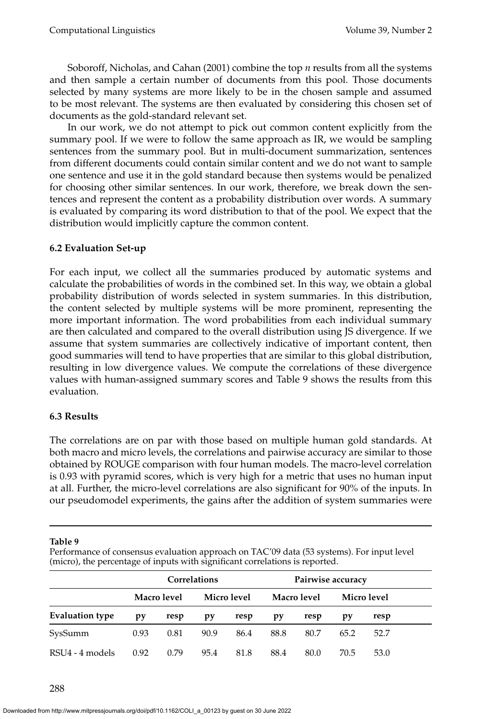Soboroff, Nicholas, and Cahan (2001) combine the top *n* results from all the systems and then sample a certain number of documents from this pool. Those documents selected by many systems are more likely to be in the chosen sample and assumed to be most relevant. The systems are then evaluated by considering this chosen set of documents as the gold-standard relevant set.

In our work, we do not attempt to pick out common content explicitly from the summary pool. If we were to follow the same approach as IR, we would be sampling sentences from the summary pool. But in multi-document summarization, sentences from different documents could contain similar content and we do not want to sample one sentence and use it in the gold standard because then systems would be penalized for choosing other similar sentences. In our work, therefore, we break down the sentences and represent the content as a probability distribution over words. A summary is evaluated by comparing its word distribution to that of the pool. We expect that the distribution would implicitly capture the common content.

# **6.2 Evaluation Set-up**

For each input, we collect all the summaries produced by automatic systems and calculate the probabilities of words in the combined set. In this way, we obtain a global probability distribution of words selected in system summaries. In this distribution, the content selected by multiple systems will be more prominent, representing the more important information. The word probabilities from each individual summary are then calculated and compared to the overall distribution using JS divergence. If we assume that system summaries are collectively indicative of important content, then good summaries will tend to have properties that are similar to this global distribution, resulting in low divergence values. We compute the correlations of these divergence values with human-assigned summary scores and Table 9 shows the results from this evaluation.

# **6.3 Results**

The correlations are on par with those based on multiple human gold standards. At both macro and micro levels, the correlations and pairwise accuracy are similar to those obtained by ROUGE comparison with four human models. The macro-level correlation is 0.93 with pyramid scores, which is very high for a metric that uses no human input at all. Further, the micro-level correlations are also significant for 90% of the inputs. In our pseudomodel experiments, the gains after the addition of system summaries were

#### **Table 9**

Performance of consensus evaluation approach on TAC'09 data (53 systems). For input level (micro), the percentage of inputs with significant correlations is reported.

|                 |             |      | Correlations |      | Pairwise accuracy |      |             |      |  |
|-----------------|-------------|------|--------------|------|-------------------|------|-------------|------|--|
| Evaluation type | Macro level |      | Micro level  |      | Macro level       |      | Micro level |      |  |
|                 | py          | resp | py           | resp | py                | resp | py          | resp |  |
| SysSumm         | 0.93        | 0.81 | 90.9         | 86.4 | 88.8              | 80.7 | 65.2        | 52.7 |  |
| RSU4 - 4 models | 0.92        | 0.79 | 95.4         | 81.8 | 88.4              | 80.0 | 70.5        | 53.0 |  |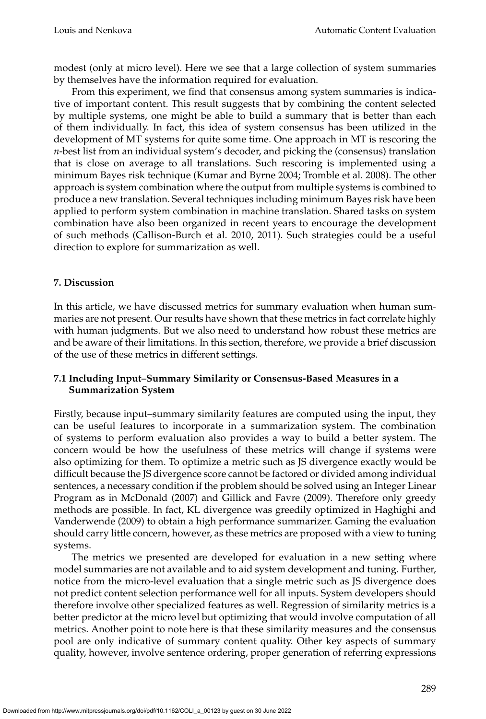modest (only at micro level). Here we see that a large collection of system summaries by themselves have the information required for evaluation.

From this experiment, we find that consensus among system summaries is indicative of important content. This result suggests that by combining the content selected by multiple systems, one might be able to build a summary that is better than each of them individually. In fact, this idea of system consensus has been utilized in the development of MT systems for quite some time. One approach in MT is rescoring the *n*-best list from an individual system's decoder, and picking the (consensus) translation that is close on average to all translations. Such rescoring is implemented using a minimum Bayes risk technique (Kumar and Byrne 2004; Tromble et al. 2008). The other approach is system combination where the output from multiple systems is combined to produce a new translation. Several techniques including minimum Bayes risk have been applied to perform system combination in machine translation. Shared tasks on system combination have also been organized in recent years to encourage the development of such methods (Callison-Burch et al. 2010, 2011). Such strategies could be a useful direction to explore for summarization as well.

# **7. Discussion**

In this article, we have discussed metrics for summary evaluation when human summaries are not present. Our results have shown that these metrics in fact correlate highly with human judgments. But we also need to understand how robust these metrics are and be aware of their limitations. In this section, therefore, we provide a brief discussion of the use of these metrics in different settings.

# **7.1 Including Input–Summary Similarity or Consensus-Based Measures in a Summarization System**

Firstly, because input–summary similarity features are computed using the input, they can be useful features to incorporate in a summarization system. The combination of systems to perform evaluation also provides a way to build a better system. The concern would be how the usefulness of these metrics will change if systems were also optimizing for them. To optimize a metric such as JS divergence exactly would be difficult because the JS divergence score cannot be factored or divided among individual sentences, a necessary condition if the problem should be solved using an Integer Linear Program as in McDonald (2007) and Gillick and Favre (2009). Therefore only greedy methods are possible. In fact, KL divergence was greedily optimized in Haghighi and Vanderwende (2009) to obtain a high performance summarizer. Gaming the evaluation should carry little concern, however, as these metrics are proposed with a view to tuning systems.

The metrics we presented are developed for evaluation in a new setting where model summaries are not available and to aid system development and tuning. Further, notice from the micro-level evaluation that a single metric such as JS divergence does not predict content selection performance well for all inputs. System developers should therefore involve other specialized features as well. Regression of similarity metrics is a better predictor at the micro level but optimizing that would involve computation of all metrics. Another point to note here is that these similarity measures and the consensus pool are only indicative of summary content quality. Other key aspects of summary quality, however, involve sentence ordering, proper generation of referring expressions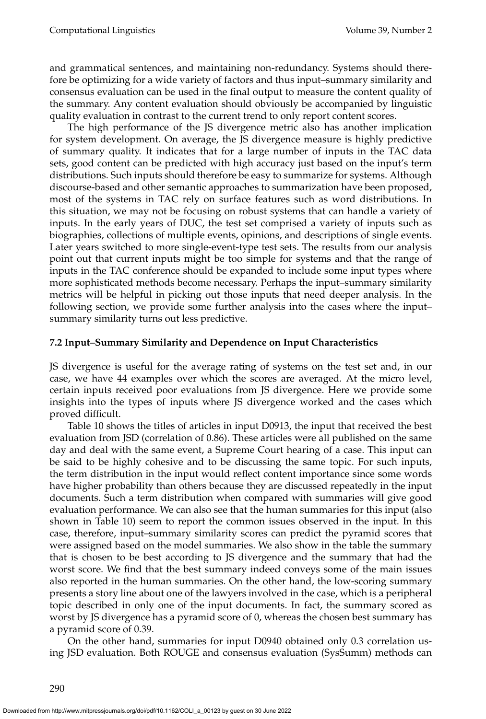and grammatical sentences, and maintaining non-redundancy. Systems should therefore be optimizing for a wide variety of factors and thus input–summary similarity and consensus evaluation can be used in the final output to measure the content quality of the summary. Any content evaluation should obviously be accompanied by linguistic quality evaluation in contrast to the current trend to only report content scores.

The high performance of the JS divergence metric also has another implication for system development. On average, the JS divergence measure is highly predictive of summary quality. It indicates that for a large number of inputs in the TAC data sets, good content can be predicted with high accuracy just based on the input's term distributions. Such inputs should therefore be easy to summarize for systems. Although discourse-based and other semantic approaches to summarization have been proposed, most of the systems in TAC rely on surface features such as word distributions. In this situation, we may not be focusing on robust systems that can handle a variety of inputs. In the early years of DUC, the test set comprised a variety of inputs such as biographies, collections of multiple events, opinions, and descriptions of single events. Later years switched to more single-event-type test sets. The results from our analysis point out that current inputs might be too simple for systems and that the range of inputs in the TAC conference should be expanded to include some input types where more sophisticated methods become necessary. Perhaps the input–summary similarity metrics will be helpful in picking out those inputs that need deeper analysis. In the following section, we provide some further analysis into the cases where the input– summary similarity turns out less predictive.

# **7.2 Input–Summary Similarity and Dependence on Input Characteristics**

JS divergence is useful for the average rating of systems on the test set and, in our case, we have 44 examples over which the scores are averaged. At the micro level, certain inputs received poor evaluations from JS divergence. Here we provide some insights into the types of inputs where JS divergence worked and the cases which proved difficult.

Table 10 shows the titles of articles in input D0913, the input that received the best evaluation from JSD (correlation of 0.86). These articles were all published on the same day and deal with the same event, a Supreme Court hearing of a case. This input can be said to be highly cohesive and to be discussing the same topic. For such inputs, the term distribution in the input would reflect content importance since some words have higher probability than others because they are discussed repeatedly in the input documents. Such a term distribution when compared with summaries will give good evaluation performance. We can also see that the human summaries for this input (also shown in Table 10) seem to report the common issues observed in the input. In this case, therefore, input–summary similarity scores can predict the pyramid scores that were assigned based on the model summaries. We also show in the table the summary that is chosen to be best according to JS divergence and the summary that had the worst score. We find that the best summary indeed conveys some of the main issues also reported in the human summaries. On the other hand, the low-scoring summary presents a story line about one of the lawyers involved in the case, which is a peripheral topic described in only one of the input documents. In fact, the summary scored as worst by JS divergence has a pyramid score of 0, whereas the chosen best summary has a pyramid score of 0.39.

On the other hand, summaries for input D0940 obtained only 0.3 correlation using JSD evaluation. Both ROUGE and consensus evaluation (SysSumm) methods can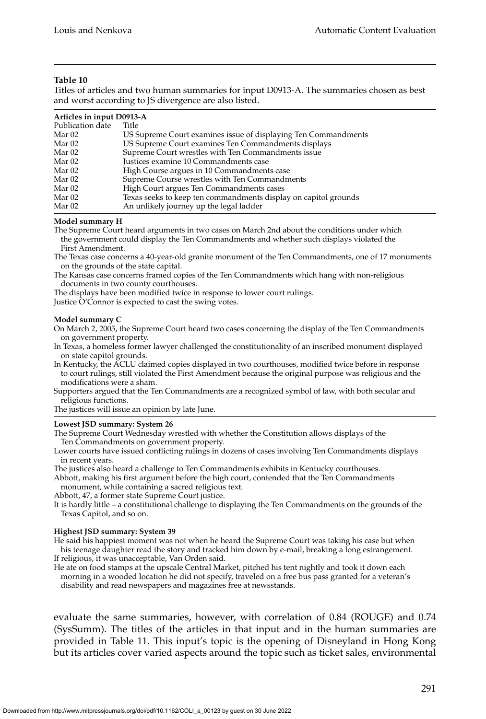Titles of articles and two human summaries for input D0913-A. The summaries chosen as best and worst according to JS divergence are also listed.

| Articles in input D0913-A |                                                                 |
|---------------------------|-----------------------------------------------------------------|
| Publication date          | Title                                                           |
| Mar 02                    | US Supreme Court examines issue of displaying Ten Commandments  |
| Mar 02                    | US Supreme Court examines Ten Commandments displays             |
| Mar 02                    | Supreme Court wrestles with Ten Commandments issue              |
| Mar 02                    | Justices examine 10 Commandments case                           |
| Mar 02                    | High Course argues in 10 Commandments case                      |
| Mar 02                    | Supreme Course wrestles with Ten Commandments                   |
| Mar 02                    | High Court argues Ten Commandments cases                        |
| Mar 02                    | Texas seeks to keep ten commandments display on capitol grounds |
| Mar <sub>02</sub>         | An unlikely journey up the legal ladder                         |

#### **Model summary H**

The Supreme Court heard arguments in two cases on March 2nd about the conditions under which the government could display the Ten Commandments and whether such displays violated the First Amendment.

The Texas case concerns a 40-year-old granite monument of the Ten Commandments, one of 17 monuments on the grounds of the state capital.

The Kansas case concerns framed copies of the Ten Commandments which hang with non-religious documents in two county courthouses.

The displays have been modified twice in response to lower court rulings.

Justice O'Connor is expected to cast the swing votes.

#### **Model summary C**

On March 2, 2005, the Supreme Court heard two cases concerning the display of the Ten Commandments on government property.

In Texas, a homeless former lawyer challenged the constitutionality of an inscribed monument displayed on state capitol grounds.

In Kentucky, the ACLU claimed copies displayed in two courthouses, modified twice before in response to court rulings, still violated the First Amendment because the original purpose was religious and the modifications were a sham.

Supporters argued that the Ten Commandments are a recognized symbol of law, with both secular and religious functions.

The justices will issue an opinion by late June.

#### **Lowest JSD summary: System 26**

The Supreme Court Wednesday wrestled with whether the Constitution allows displays of the Ten Commandments on government property.

Lower courts have issued conflicting rulings in dozens of cases involving Ten Commandments displays in recent years.

The justices also heard a challenge to Ten Commandments exhibits in Kentucky courthouses.

Abbott, making his first argument before the high court, contended that the Ten Commandments monument, while containing a sacred religious text.

Abbott, 47, a former state Supreme Court justice.

It is hardly little – a constitutional challenge to displaying the Ten Commandments on the grounds of the Texas Capitol, and so on.

#### **Highest JSD summary: System 39**

He said his happiest moment was not when he heard the Supreme Court was taking his case but when his teenage daughter read the story and tracked him down by e-mail, breaking a long estrangement. If religious, it was unacceptable, Van Orden said.

He ate on food stamps at the upscale Central Market, pitched his tent nightly and took it down each morning in a wooded location he did not specify, traveled on a free bus pass granted for a veteran's disability and read newspapers and magazines free at newsstands.

evaluate the same summaries, however, with correlation of 0.84 (ROUGE) and 0.74 (SysSumm). The titles of the articles in that input and in the human summaries are provided in Table 11. This input's topic is the opening of Disneyland in Hong Kong but its articles cover varied aspects around the topic such as ticket sales, environmental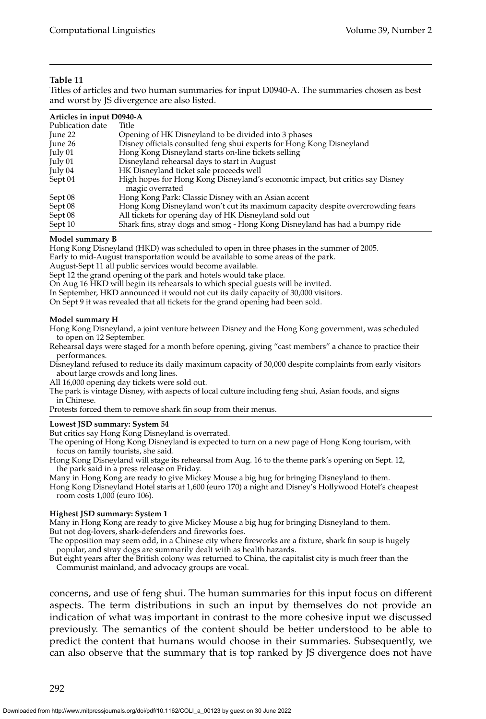Titles of articles and two human summaries for input D0940-A. The summaries chosen as best and worst by JS divergence are also listed.

| Articles in input D0940-A |                                                                                                  |
|---------------------------|--------------------------------------------------------------------------------------------------|
| Publication date          | Title                                                                                            |
| June 22                   | Opening of HK Disneyland to be divided into 3 phases                                             |
| June 26                   | Disney officials consulted feng shui experts for Hong Kong Disneyland                            |
| July 01                   | Hong Kong Disneyland starts on-line tickets selling                                              |
| July 01                   | Disneyland rehearsal days to start in August                                                     |
| July 04                   | HK Disneyland ticket sale proceeds well                                                          |
| Sept 04                   | High hopes for Hong Kong Disneyland's economic impact, but critics say Disney<br>magic overrated |
| Sept 08                   | Hong Kong Park: Classic Disney with an Asian accent                                              |
| Sept 08                   | Hong Kong Disneyland won't cut its maximum capacity despite overcrowding fears                   |
| Sept 08                   | All tickets for opening day of HK Disneyland sold out                                            |
| Sept 10                   | Shark fins, stray dogs and smog - Hong Kong Disneyland has had a bumpy ride                      |

#### **Model summary B**

Hong Kong Disneyland (HKD) was scheduled to open in three phases in the summer of 2005.

Early to mid-August transportation would be available to some areas of the park.

August-Sept 11 all public services would become available.

Sept 12 the grand opening of the park and hotels would take place.

On Aug 16 HKD will begin its rehearsals to which special guests will be invited.

In September, HKD announced it would not cut its daily capacity of 30,000 visitors.

On Sept 9 it was revealed that all tickets for the grand opening had been sold.

#### **Model summary H**

Hong Kong Disneyland, a joint venture between Disney and the Hong Kong government, was scheduled to open on 12 September.

Rehearsal days were staged for a month before opening, giving "cast members" a chance to practice their performances.

Disneyland refused to reduce its daily maximum capacity of 30,000 despite complaints from early visitors about large crowds and long lines.

All 16,000 opening day tickets were sold out.

The park is vintage Disney, with aspects of local culture including feng shui, Asian foods, and signs in Chinese.

Protests forced them to remove shark fin soup from their menus.

#### **Lowest JSD summary: System 54**

But critics say Hong Kong Disneyland is overrated.

The opening of Hong Kong Disneyland is expected to turn on a new page of Hong Kong tourism, with focus on family tourists, she said.

Hong Kong Disneyland will stage its rehearsal from Aug. 16 to the theme park's opening on Sept. 12, the park said in a press release on Friday.

Many in Hong Kong are ready to give Mickey Mouse a big hug for bringing Disneyland to them.

Hong Kong Disneyland Hotel starts at 1,600 (euro 170) a night and Disney's Hollywood Hotel's cheapest room costs 1,000 (euro 106).

#### **Highest JSD summary: System 1**

Many in Hong Kong are ready to give Mickey Mouse a big hug for bringing Disneyland to them. But not dog-lovers, shark-defenders and fireworks foes.

The opposition may seem odd, in a Chinese city where fireworks are a fixture, shark fin soup is hugely popular, and stray dogs are summarily dealt with as health hazards.

But eight years after the British colony was returned to China, the capitalist city is much freer than the Communist mainland, and advocacy groups are vocal.

concerns, and use of feng shui. The human summaries for this input focus on different aspects. The term distributions in such an input by themselves do not provide an indication of what was important in contrast to the more cohesive input we discussed previously. The semantics of the content should be better understood to be able to predict the content that humans would choose in their summaries. Subsequently, we can also observe that the summary that is top ranked by JS divergence does not have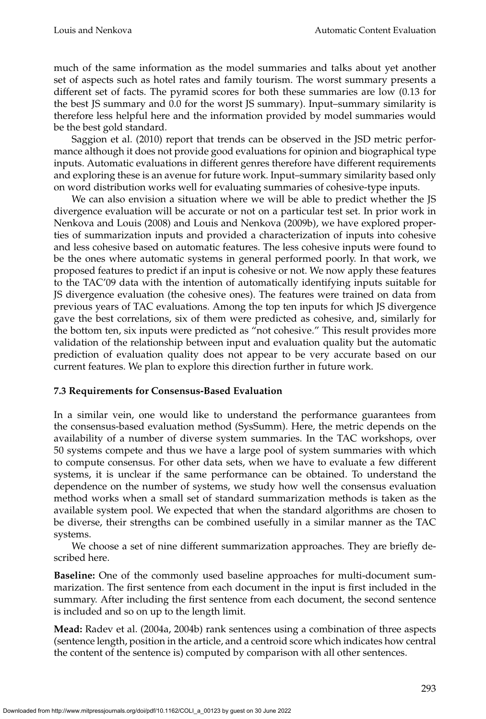much of the same information as the model summaries and talks about yet another set of aspects such as hotel rates and family tourism. The worst summary presents a different set of facts. The pyramid scores for both these summaries are low (0.13 for the best JS summary and 0.0 for the worst JS summary). Input–summary similarity is therefore less helpful here and the information provided by model summaries would be the best gold standard.

Saggion et al. (2010) report that trends can be observed in the JSD metric performance although it does not provide good evaluations for opinion and biographical type inputs. Automatic evaluations in different genres therefore have different requirements and exploring these is an avenue for future work. Input–summary similarity based only on word distribution works well for evaluating summaries of cohesive-type inputs.

We can also envision a situation where we will be able to predict whether the JS divergence evaluation will be accurate or not on a particular test set. In prior work in Nenkova and Louis (2008) and Louis and Nenkova (2009b), we have explored properties of summarization inputs and provided a characterization of inputs into cohesive and less cohesive based on automatic features. The less cohesive inputs were found to be the ones where automatic systems in general performed poorly. In that work, we proposed features to predict if an input is cohesive or not. We now apply these features to the TAC'09 data with the intention of automatically identifying inputs suitable for JS divergence evaluation (the cohesive ones). The features were trained on data from previous years of TAC evaluations. Among the top ten inputs for which JS divergence gave the best correlations, six of them were predicted as cohesive, and, similarly for the bottom ten, six inputs were predicted as "not cohesive." This result provides more validation of the relationship between input and evaluation quality but the automatic prediction of evaluation quality does not appear to be very accurate based on our current features. We plan to explore this direction further in future work.

# **7.3 Requirements for Consensus-Based Evaluation**

In a similar vein, one would like to understand the performance guarantees from the consensus-based evaluation method (SysSumm). Here, the metric depends on the availability of a number of diverse system summaries. In the TAC workshops, over 50 systems compete and thus we have a large pool of system summaries with which to compute consensus. For other data sets, when we have to evaluate a few different systems, it is unclear if the same performance can be obtained. To understand the dependence on the number of systems, we study how well the consensus evaluation method works when a small set of standard summarization methods is taken as the available system pool. We expected that when the standard algorithms are chosen to be diverse, their strengths can be combined usefully in a similar manner as the TAC systems.

We choose a set of nine different summarization approaches. They are briefly described here.

**Baseline:** One of the commonly used baseline approaches for multi-document summarization. The first sentence from each document in the input is first included in the summary. After including the first sentence from each document, the second sentence is included and so on up to the length limit.

**Mead:** Radev et al. (2004a, 2004b) rank sentences using a combination of three aspects (sentence length, position in the article, and a centroid score which indicates how central the content of the sentence is) computed by comparison with all other sentences.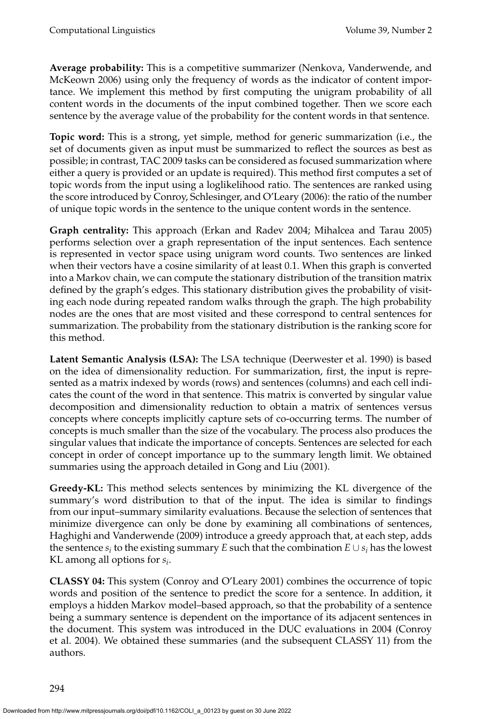**Average probability:** This is a competitive summarizer (Nenkova, Vanderwende, and McKeown 2006) using only the frequency of words as the indicator of content importance. We implement this method by first computing the unigram probability of all content words in the documents of the input combined together. Then we score each sentence by the average value of the probability for the content words in that sentence.

**Topic word:** This is a strong, yet simple, method for generic summarization (i.e., the set of documents given as input must be summarized to reflect the sources as best as possible; in contrast, TAC 2009 tasks can be considered as focused summarization where either a query is provided or an update is required). This method first computes a set of topic words from the input using a loglikelihood ratio. The sentences are ranked using the score introduced by Conroy, Schlesinger, and O'Leary (2006): the ratio of the number of unique topic words in the sentence to the unique content words in the sentence.

**Graph centrality:** This approach (Erkan and Radev 2004; Mihalcea and Tarau 2005) performs selection over a graph representation of the input sentences. Each sentence is represented in vector space using unigram word counts. Two sentences are linked when their vectors have a cosine similarity of at least 0.1. When this graph is converted into a Markov chain, we can compute the stationary distribution of the transition matrix defined by the graph's edges. This stationary distribution gives the probability of visiting each node during repeated random walks through the graph. The high probability nodes are the ones that are most visited and these correspond to central sentences for summarization. The probability from the stationary distribution is the ranking score for this method.

**Latent Semantic Analysis (LSA):** The LSA technique (Deerwester et al. 1990) is based on the idea of dimensionality reduction. For summarization, first, the input is represented as a matrix indexed by words (rows) and sentences (columns) and each cell indicates the count of the word in that sentence. This matrix is converted by singular value decomposition and dimensionality reduction to obtain a matrix of sentences versus concepts where concepts implicitly capture sets of co-occurring terms. The number of concepts is much smaller than the size of the vocabulary. The process also produces the singular values that indicate the importance of concepts. Sentences are selected for each concept in order of concept importance up to the summary length limit. We obtained summaries using the approach detailed in Gong and Liu (2001).

**Greedy-KL:** This method selects sentences by minimizing the KL divergence of the summary's word distribution to that of the input. The idea is similar to findings from our input–summary similarity evaluations. Because the selection of sentences that minimize divergence can only be done by examining all combinations of sentences, Haghighi and Vanderwende (2009) introduce a greedy approach that, at each step, adds the sentence  $s_i$  to the existing summary *E* such that the combination  $E \cup s_i$  has the lowest KL among all options for *si*.

**CLASSY 04:** This system (Conroy and O'Leary 2001) combines the occurrence of topic words and position of the sentence to predict the score for a sentence. In addition, it employs a hidden Markov model–based approach, so that the probability of a sentence being a summary sentence is dependent on the importance of its adjacent sentences in the document. This system was introduced in the DUC evaluations in 2004 (Conroy et al. 2004). We obtained these summaries (and the subsequent CLASSY 11) from the authors.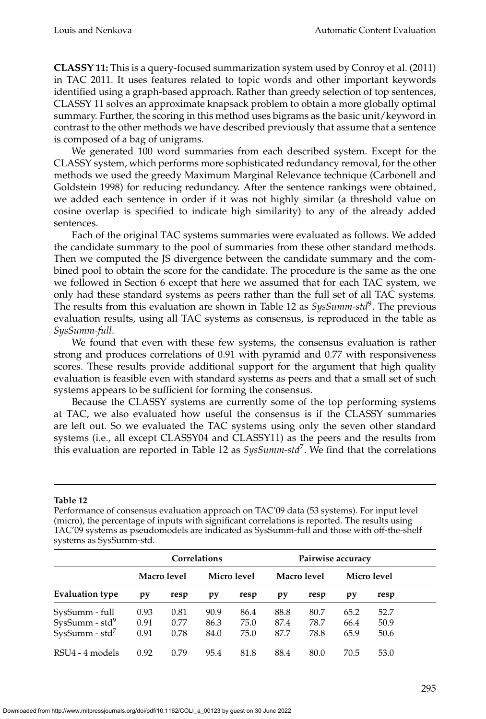**CLASSY 11:** This is a query-focused summarization system used by Conroy et al. (2011) in TAC 2011. It uses features related to topic words and other important keywords identified using a graph-based approach. Rather than greedy selection of top sentences, CLASSY 11 solves an approximate knapsack problem to obtain a more globally optimal summary. Further, the scoring in this method uses bigrams as the basic unit/keyword in contrast to the other methods we have described previously that assume that a sentence is composed of a bag of unigrams.

We generated 100 word summaries from each described system. Except for the CLASSY system, which performs more sophisticated redundancy removal, for the other methods we used the greedy Maximum Marginal Relevance technique (Carbonell and Goldstein 1998) for reducing redundancy. After the sentence rankings were obtained, we added each sentence in order if it was not highly similar (a threshold value on cosine overlap is specified to indicate high similarity) to any of the already added sentences.

Each of the original TAC systems summaries were evaluated as follows. We added the candidate summary to the pool of summaries from these other standard methods. Then we computed the JS divergence between the candidate summary and the combined pool to obtain the score for the candidate. The procedure is the same as the one we followed in Section 6 except that here we assumed that for each TAC system, we only had these standard systems as peers rather than the full set of all TAC systems. The results from this evaluation are shown in Table 12 as *SysSumm-std*9. The previous evaluation results, using all TAC systems as consensus, is reproduced in the table as *SysSumm-full*.

We found that even with these few systems, the consensus evaluation is rather strong and produces correlations of 0.91 with pyramid and 0.77 with responsiveness scores. These results provide additional support for the argument that high quality evaluation is feasible even with standard systems as peers and that a small set of such systems appears to be sufficient for forming the consensus.

Because the CLASSY systems are currently some of the top performing systems at TAC, we also evaluated how useful the consensus is if the CLASSY summaries are left out. So we evaluated the TAC systems using only the seven other standard systems (i.e., all except CLASSY04 and CLASSY11) as the peers and the results from this evaluation are reported in Table 12 as *SysSumm-std*7. We find that the correlations

# **Table 12**

Performance of consensus evaluation approach on TAC'09 data (53 systems). For input level (micro), the percentage of inputs with significant correlations is reported. The results using TAC'09 systems as pseudomodels are indicated as SysSumm-full and those with off-the-shelf systems as SysSumm-std.

|                        |      |             | Correlations |             |      | Pairwise accuracy |      |             |
|------------------------|------|-------------|--------------|-------------|------|-------------------|------|-------------|
|                        |      | Macro level |              | Micro level |      | Macro level       |      | Micro level |
| <b>Evaluation type</b> | py   | resp        | py           | resp        | py   | resp              | py   | resp        |
| SysSumm - full         | 0.93 | 0.81        | 90.9         | 86.4        | 88.8 | 80.7              | 65.2 | 52.7        |
| $SysSumm - std9$       | 0.91 | 0.77        | 86.3         | 75.0        | 87.4 | 78.7              | 66.4 | 50.9        |
| $SysSumm - std7$       | 0.91 | 0.78        | 84.0         | 75.0        | 87.7 | 78.8              | 65.9 | 50.6        |
| RSU4 - 4 models        | 0.92 | 0.79        | 95.4         | 81.8        | 88.4 | 80.0              | 70.5 | 53.0        |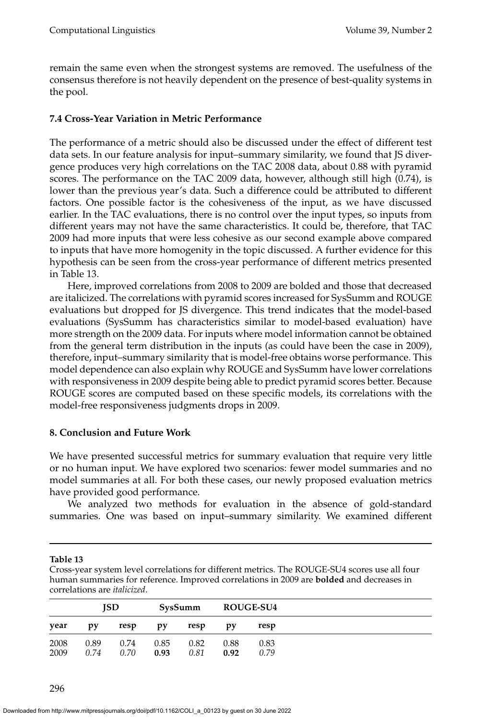remain the same even when the strongest systems are removed. The usefulness of the consensus therefore is not heavily dependent on the presence of best-quality systems in the pool.

# **7.4 Cross-Year Variation in Metric Performance**

The performance of a metric should also be discussed under the effect of different test data sets. In our feature analysis for input–summary similarity, we found that JS divergence produces very high correlations on the TAC 2008 data, about 0.88 with pyramid scores. The performance on the TAC 2009 data, however, although still high (0.74), is lower than the previous year's data. Such a difference could be attributed to different factors. One possible factor is the cohesiveness of the input, as we have discussed earlier. In the TAC evaluations, there is no control over the input types, so inputs from different years may not have the same characteristics. It could be, therefore, that TAC 2009 had more inputs that were less cohesive as our second example above compared to inputs that have more homogenity in the topic discussed. A further evidence for this hypothesis can be seen from the cross-year performance of different metrics presented in Table 13.

Here, improved correlations from 2008 to 2009 are bolded and those that decreased are italicized. The correlations with pyramid scores increased for SysSumm and ROUGE evaluations but dropped for JS divergence. This trend indicates that the model-based evaluations (SysSumm has characteristics similar to model-based evaluation) have more strength on the 2009 data. For inputs where model information cannot be obtained from the general term distribution in the inputs (as could have been the case in 2009), therefore, input–summary similarity that is model-free obtains worse performance. This model dependence can also explain why ROUGE and SysSumm have lower correlations with responsiveness in 2009 despite being able to predict pyramid scores better. Because ROUGE scores are computed based on these specific models, its correlations with the model-free responsiveness judgments drops in 2009.

# **8. Conclusion and Future Work**

We have presented successful metrics for summary evaluation that require very little or no human input. We have explored two scenarios: fewer model summaries and no model summaries at all. For both these cases, our newly proposed evaluation metrics have provided good performance.

We analyzed two methods for evaluation in the absence of gold-standard summaries. One was based on input–summary similarity. We examined different

#### **Table 13**

Cross-year system level correlations for different metrics. The ROUGE-SU4 scores use all four human summaries for reference. Improved correlations in 2009 are **bolded** and decreases in correlations are *italicized*.

|              |              | ISD          |              | SysSumm      |              | <b>ROUGE-SU4</b> |
|--------------|--------------|--------------|--------------|--------------|--------------|------------------|
| year         | py           | resp         | py           | resp         | pv           | resp             |
| 2008<br>2009 | 0.89<br>0.74 | 0.74<br>0.70 | 0.85<br>0.93 | 0.82<br>0.81 | 0.88<br>0.92 | 0.83<br>0.79     |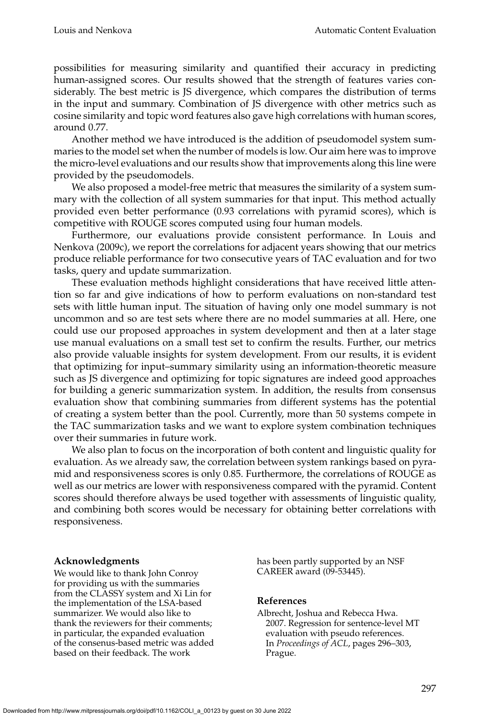possibilities for measuring similarity and quantified their accuracy in predicting human-assigned scores. Our results showed that the strength of features varies considerably. The best metric is JS divergence, which compares the distribution of terms in the input and summary. Combination of JS divergence with other metrics such as cosine similarity and topic word features also gave high correlations with human scores, around 0.77.

Another method we have introduced is the addition of pseudomodel system summaries to the model set when the number of models is low. Our aim here was to improve the micro-level evaluations and our results show that improvements along this line were provided by the pseudomodels.

We also proposed a model-free metric that measures the similarity of a system summary with the collection of all system summaries for that input. This method actually provided even better performance (0.93 correlations with pyramid scores), which is competitive with ROUGE scores computed using four human models.

Furthermore, our evaluations provide consistent performance. In Louis and Nenkova (2009c), we report the correlations for adjacent years showing that our metrics produce reliable performance for two consecutive years of TAC evaluation and for two tasks, query and update summarization.

These evaluation methods highlight considerations that have received little attention so far and give indications of how to perform evaluations on non-standard test sets with little human input. The situation of having only one model summary is not uncommon and so are test sets where there are no model summaries at all. Here, one could use our proposed approaches in system development and then at a later stage use manual evaluations on a small test set to confirm the results. Further, our metrics also provide valuable insights for system development. From our results, it is evident that optimizing for input–summary similarity using an information-theoretic measure such as JS divergence and optimizing for topic signatures are indeed good approaches for building a generic summarization system. In addition, the results from consensus evaluation show that combining summaries from different systems has the potential of creating a system better than the pool. Currently, more than 50 systems compete in the TAC summarization tasks and we want to explore system combination techniques over their summaries in future work.

We also plan to focus on the incorporation of both content and linguistic quality for evaluation. As we already saw, the correlation between system rankings based on pyramid and responsiveness scores is only 0.85. Furthermore, the correlations of ROUGE as well as our metrics are lower with responsiveness compared with the pyramid. Content scores should therefore always be used together with assessments of linguistic quality, and combining both scores would be necessary for obtaining better correlations with responsiveness.

# **Acknowledgments**

We would like to thank John Conroy for providing us with the summaries from the CLASSY system and Xi Lin for the implementation of the LSA-based summarizer. We would also like to thank the reviewers for their comments; in particular, the expanded evaluation of the consenus-based metric was added based on their feedback. The work

has been partly supported by an NSF CAREER award (09-53445).

# **References**

Albrecht, Joshua and Rebecca Hwa. 2007. Regression for sentence-level MT evaluation with pseudo references. In *Proceedings of ACL*, pages 296–303, Prague.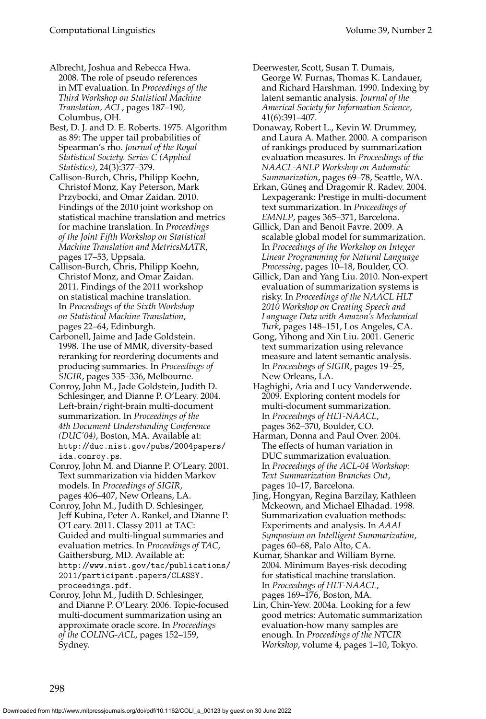- Albrecht, Joshua and Rebecca Hwa. 2008. The role of pseudo references in MT evaluation. In *Proceedings of the Third Workshop on Statistical Machine Translation, ACL*, pages 187–190, Columbus, OH.
- Best, D. J. and D. E. Roberts. 1975. Algorithm as 89: The upper tail probabilities of Spearman's rho. *Journal of the Royal Statistical Society. Series C (Applied Statistics)*, 24(3):377–379.
- Callison-Burch, Chris, Philipp Koehn, Christof Monz, Kay Peterson, Mark Przybocki, and Omar Zaidan. 2010. Findings of the 2010 joint workshop on statistical machine translation and metrics for machine translation. In *Proceedings of the Joint Fifth Workshop on Statistical Machine Translation and MetricsMATR*, pages 17–53, Uppsala.
- Callison-Burch, Chris, Philipp Koehn, Christof Monz, and Omar Zaidan. 2011. Findings of the 2011 workshop on statistical machine translation. In *Proceedings of the Sixth Workshop on Statistical Machine Translation*, pages 22–64, Edinburgh.
- Carbonell, Jaime and Jade Goldstein. 1998. The use of MMR, diversity-based reranking for reordering documents and producing summaries. In *Proceedings of SIGIR*, pages 335–336, Melbourne.
- Conroy, John M., Jade Goldstein, Judith D. Schlesinger, and Dianne P. O'Leary. 2004. Left-brain/right-brain multi-document summarization. In *Proceedings of the 4th Document Understanding Conference (DUC'04)*, Boston, MA. Available at: http://duc.nist.gov/pubs/2004papers/ ida.conroy.ps.
- Conroy, John M. and Dianne P. O'Leary. 2001. Text summarization via hidden Markov models. In *Proceedings of SIGIR*, pages 406–407, New Orleans, LA.
- Conroy, John M., Judith D. Schlesinger, Jeff Kubina, Peter A. Rankel, and Dianne P. O'Leary. 2011. Classy 2011 at TAC: Guided and multi-lingual summaries and evaluation metrics. In *Proceedings of TAC*, Gaithersburg, MD. Available at: http://www.nist.gov/tac/publications/ 2011/participant.papers/CLASSY. proceedings.pdf.
- Conroy, John M., Judith D. Schlesinger, and Dianne P. O'Leary. 2006. Topic-focused multi-document summarization using an approximate oracle score. In *Proceedings of the COLING-ACL*, pages 152–159, Sydney.
- Deerwester, Scott, Susan T. Dumais, George W. Furnas, Thomas K. Landauer, and Richard Harshman. 1990. Indexing by latent semantic analysis. *Journal of the Americal Society for Information Science*, 41(6):391–407.
- Donaway, Robert L., Kevin W. Drummey, and Laura A. Mather. 2000. A comparison of rankings produced by summarization evaluation measures. In *Proceedings of the NAACL-ANLP Workshop on Automatic Summarization*, pages 69–78, Seattle, WA.
- Erkan, Güneş and Dragomir R. Radev. 2004. Lexpagerank: Prestige in multi-document text summarization. In *Proceedings of EMNLP*, pages 365–371, Barcelona.
- Gillick, Dan and Benoit Favre. 2009. A scalable global model for summarization. In *Proceedings of the Workshop on Integer Linear Programming for Natural Language Processing*, pages 10–18, Boulder, CO.
- Gillick, Dan and Yang Liu. 2010. Non-expert evaluation of summarization systems is risky. In *Proceedings of the NAACL HLT 2010 Workshop on Creating Speech and Language Data with Amazon's Mechanical Turk*, pages 148–151, Los Angeles, CA.
- Gong, Yihong and Xin Liu. 2001. Generic text summarization using relevance measure and latent semantic analysis. In *Proceedings of SIGIR*, pages 19–25, New Orleans, LA.
- Haghighi, Aria and Lucy Vanderwende. 2009. Exploring content models for multi-document summarization. In *Proceedings of HLT-NAACL*, pages 362–370, Boulder, CO.
- Harman, Donna and Paul Over. 2004. The effects of human variation in DUC summarization evaluation. In *Proceedings of the ACL-04 Workshop: Text Summarization Branches Out*, pages 10–17, Barcelona.
- Jing, Hongyan, Regina Barzilay, Kathleen Mckeown, and Michael Elhadad. 1998. Summarization evaluation methods: Experiments and analysis. In *AAAI Symposium on Intelligent Summarization*, pages 60–68, Palo Alto, CA.
- Kumar, Shankar and William Byrne. 2004. Minimum Bayes-risk decoding for statistical machine translation. In *Proceedings of HLT-NAACL*, pages 169–176, Boston, MA.
- Lin, Chin-Yew. 2004a. Looking for a few good metrics: Automatic summarization evaluation-how many samples are enough. In *Proceedings of the NTCIR Workshop*, volume 4, pages 1–10, Tokyo.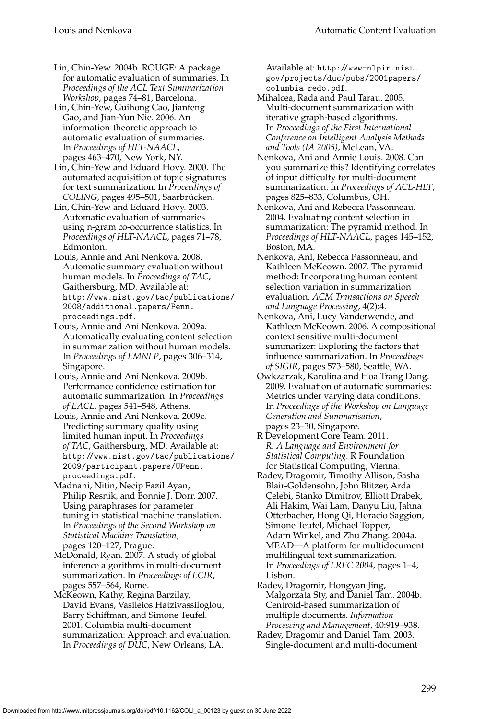Lin, Chin-Yew. 2004b. ROUGE: A package for automatic evaluation of summaries. In *Proceedings of the ACL Text Summarization Workshop*, pages 74–81, Barcelona.

Lin, Chin-Yew, Guihong Cao, Jianfeng Gao, and Jian-Yun Nie. 2006. An information-theoretic approach to automatic evaluation of summaries. In *Proceedings of HLT-NAACL*, pages 463–470, New York, NY.

Lin, Chin-Yew and Eduard Hovy. 2000. The automated acquisition of topic signatures for text summarization. In *Proceedings of COLING*, pages 495-501, Saarbrücken.

Lin, Chin-Yew and Eduard Hovy. 2003. Automatic evaluation of summaries using n-gram co-occurrence statistics. In *Proceedings of HLT-NAACL*, pages 71–78, Edmonton.

Louis, Annie and Ani Nenkova. 2008. Automatic summary evaluation without human models. In *Proceedings of TAC*, Gaithersburg, MD. Available at: http://www.nist.gov/tac/publications/ 2008/additional.papers/Penn. proceedings.pdf.

Louis, Annie and Ani Nenkova. 2009a. Automatically evaluating content selection in summarization without human models. In *Proceedings of EMNLP*, pages 306–314, Singapore.

Louis, Annie and Ani Nenkova. 2009b. Performance confidence estimation for automatic summarization. In *Proceedings of EACL*, pages 541–548, Athens.

Louis, Annie and Ani Nenkova. 2009c. Predicting summary quality using limited human input. In *Proceedings of TAC*, Gaithersburg, MD. Available at: http://www.nist.gov/tac/publications/ 2009/participant.papers/UPenn. proceedings.pdf.

Madnani, Nitin, Necip Fazil Ayan, Philip Resnik, and Bonnie J. Dorr. 2007. Using paraphrases for parameter tuning in statistical machine translation. In *Proceedings of the Second Workshop on Statistical Machine Translation*, pages 120–127, Prague.

McDonald, Ryan. 2007. A study of global inference algorithms in multi-document summarization. In *Proceedings of ECIR*, pages 557–564, Rome.

McKeown, Kathy, Regina Barzilay, David Evans, Vasileios Hatzivassiloglou, Barry Schiffman, and Simone Teufel. 2001. Columbia multi-document summarization: Approach and evaluation. In *Proceedings of DUC*, New Orleans, LA.

Available at: http://www-nlpir.nist. gov/projects/duc/pubs/2001papers/ columbia\_redo.pdf.

- Mihalcea, Rada and Paul Tarau. 2005. Multi-document summarization with iterative graph-based algorithms. In *Proceedings of the First International Conference on Intelligent Analysis Methods and Tools (IA 2005)*, McLean, VA.
- Nenkova, Ani and Annie Louis. 2008. Can you summarize this? Identifying correlates of input difficulty for multi-document summarization. In *Proceedings of ACL-HLT*, pages 825–833, Columbus, OH.

Nenkova, Ani and Rebecca Passonneau. 2004. Evaluating content selection in summarization: The pyramid method. In *Proceedings of HLT-NAACL*, pages 145–152, Boston, MA.

- Nenkova, Ani, Rebecca Passonneau, and Kathleen McKeown. 2007. The pyramid method: Incorporating human content selection variation in summarization evaluation. *ACM Transactions on Speech and Language Processing*, 4(2):4.
- Nenkova, Ani, Lucy Vanderwende, and Kathleen McKeown. 2006. A compositional context sensitive multi-document summarizer: Exploring the factors that influence summarization. In *Proceedings of SIGIR*, pages 573–580, Seattle, WA.

Owkzarzak, Karolina and Hoa Trang Dang. 2009. Evaluation of automatic summaries: Metrics under varying data conditions. In *Proceedings of the Workshop on Language Generation and Summarisation*, pages 23–30, Singapore.

R Development Core Team. 2011. *R: A Language and Environment for Statistical Computing*. R Foundation for Statistical Computing, Vienna.

Radev, Dragomir, Timothy Allison, Sasha Blair-Goldensohn, John Blitzer, Arda Çelebi, Stanko Dimitrov, Elliott Drabek, Ali Hakim, Wai Lam, Danyu Liu, Jahna Otterbacher, Hong Qi, Horacio Saggion, Simone Teufel, Michael Topper, Adam Winkel, and Zhu Zhang. 2004a. MEAD—A platform for multidocument multilingual text summarization. In *Proceedings of LREC 2004*, pages 1–4, Lisbon.

Radev, Dragomir, Hongyan Jing, Malgorzata Sty, and Daniel Tam. 2004b. Centroid-based summarization of multiple documents. *Information Processing and Management*, 40:919–938.

Radev, Dragomir and Daniel Tam. 2003. Single-document and multi-document